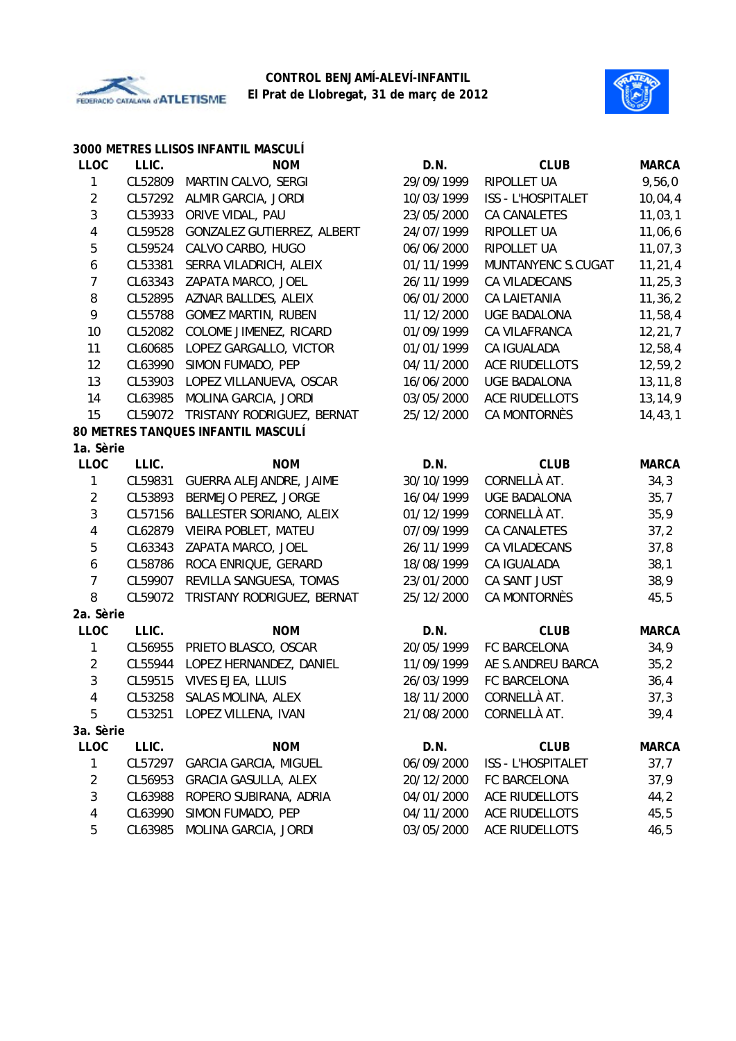



|                  |         | 3000 METRES LLISOS INFANTIL MASCULÍ |            |                           |              |
|------------------|---------|-------------------------------------|------------|---------------------------|--------------|
| <b>LLOC</b>      | LLIC.   | <b>NOM</b>                          | D.N.       | <b>CLUB</b>               | <b>MARCA</b> |
| 1                | CL52809 | MARTIN CALVO, SERGI                 | 29/09/1999 | RIPOLLET UA               | 9,56,0       |
| $\overline{2}$   | CL57292 | ALMIR GARCIA, JORDI                 | 10/03/1999 | ISS - L'HOSPITALET        | 10,04,4      |
| 3                | CL53933 | ORIVE VIDAL, PAU                    | 23/05/2000 | CA CANALETES              | 11,03,1      |
| 4                | CL59528 | GONZALEZ GUTIERREZ, ALBERT          | 24/07/1999 | RIPOLLET UA               | 11,06,6      |
| 5                | CL59524 | CALVO CARBO, HUGO                   | 06/06/2000 | RIPOLLET UA               | 11,07,3      |
| $\boldsymbol{6}$ | CL53381 | SERRA VILADRICH, ALEIX              | 01/11/1999 | MUNTANYENC S.CUGAT        | 11, 21, 4    |
| $\overline{7}$   | CL63343 | ZAPATA MARCO, JOEL                  | 26/11/1999 | CA VILADECANS             | 11, 25, 3    |
| $\, 8$           | CL52895 | AZNAR BALLDES, ALEIX                | 06/01/2000 | <b>CA LAIETANIA</b>       | 11, 36, 2    |
| 9                | CL55788 | <b>GOMEZ MARTIN, RUBEN</b>          | 11/12/2000 | <b>UGE BADALONA</b>       | 11,58,4      |
| 10               | CL52082 | COLOME JIMENEZ, RICARD              | 01/09/1999 | CA VILAFRANCA             | 12,21,7      |
| 11               | CL60685 | LOPEZ GARGALLO, VICTOR              | 01/01/1999 | CA IGUALADA               | 12,58,4      |
| 12               | CL63990 | SIMON FUMADO, PEP                   | 04/11/2000 | <b>ACE RIUDELLOTS</b>     | 12,59,2      |
| 13               | CL53903 | LOPEZ VILLANUEVA, OSCAR             | 16/06/2000 | <b>UGE BADALONA</b>       | 13, 11, 8    |
| 14               | CL63985 | MOLINA GARCIA, JORDI                | 03/05/2000 | <b>ACE RIUDELLOTS</b>     | 13,14,9      |
| 15               | CL59072 | TRISTANY RODRIGUEZ, BERNAT          | 25/12/2000 | CA MONTORNÈS              | 14, 43, 1    |
|                  |         | 80 METRES TANQUES INFANTIL MASCULÍ  |            |                           |              |
| 1a. Sèrie        |         |                                     |            |                           |              |
| <b>LLOC</b>      | LLIC.   | <b>NOM</b>                          | D.N.       | <b>CLUB</b>               | <b>MARCA</b> |
| 1                | CL59831 | GUERRA ALEJANDRE, JAIME             | 30/10/1999 | CORNELLÀ AT.              | 34,3         |
| $\sqrt{2}$       | CL53893 | BERMEJO PEREZ, JORGE                | 16/04/1999 | <b>UGE BADALONA</b>       | 35,7         |
| $\mathfrak{Z}$   | CL57156 | BALLESTER SORIANO, ALEIX            | 01/12/1999 | CORNELLÀ AT.              | 35,9         |
| $\sqrt{4}$       | CL62879 | VIEIRA POBLET, MATEU                | 07/09/1999 | CA CANALETES              | 37,2         |
| 5                | CL63343 | ZAPATA MARCO, JOEL                  | 26/11/1999 | CA VILADECANS             | 37,8         |
| $\boldsymbol{6}$ | CL58786 | ROCA ENRIQUE, GERARD                | 18/08/1999 | CA IGUALADA               | 38,1         |
| $\overline{7}$   | CL59907 | REVILLA SANGUESA, TOMAS             | 23/01/2000 | CA SANT JUST              | 38,9         |
| 8                | CL59072 | TRISTANY RODRIGUEZ, BERNAT          | 25/12/2000 | CA MONTORNÈS              | 45,5         |
| 2a. Sèrie        |         |                                     |            |                           |              |
| <b>LLOC</b>      | LLIC.   | <b>NOM</b>                          | D.N.       | <b>CLUB</b>               | <b>MARCA</b> |
| 1                | CL56955 | PRIETO BLASCO, OSCAR                | 20/05/1999 | FC BARCELONA              | 34,9         |
| $\overline{2}$   | CL55944 | LOPEZ HERNANDEZ, DANIEL             | 11/09/1999 | AE S.ANDREU BARCA         | 35,2         |
| $\mathbf{3}$     | CL59515 | VIVES EJEA, LLUIS                   | 26/03/1999 | FC BARCELONA              | 36,4         |
| 4                |         | CL53258 SALAS MOLINA, ALEX          | 18/11/2000 | CORNELLÀ AT.              | 37,3         |
| 5                |         | CL53251 LOPEZ VILLENA, IVAN         | 21/08/2000 | CORNELLÀ AT.              | 39,4         |
| 3a. Sèrie        |         |                                     |            |                           |              |
| <b>LLOC</b>      | LLIC.   | <b>NOM</b>                          | D.N.       | <b>CLUB</b>               | <b>MARCA</b> |
| 1                | CL57297 | <b>GARCIA GARCIA, MIGUEL</b>        | 06/09/2000 | <b>ISS - L'HOSPITALET</b> | 37,7         |
| $\overline{2}$   | CL56953 | <b>GRACIA GASULLA, ALEX</b>         | 20/12/2000 | FC BARCELONA              | 37,9         |
| 3                | CL63988 | ROPERO SUBIRANA, ADRIA              | 04/01/2000 | <b>ACE RIUDELLOTS</b>     | 44,2         |
| 4                | CL63990 | SIMON FUMADO, PEP                   | 04/11/2000 | ACE RIUDELLOTS            | 45,5         |
| 5                | CL63985 | MOLINA GARCIA, JORDI                | 03/05/2000 | ACE RIUDELLOTS            | 46,5         |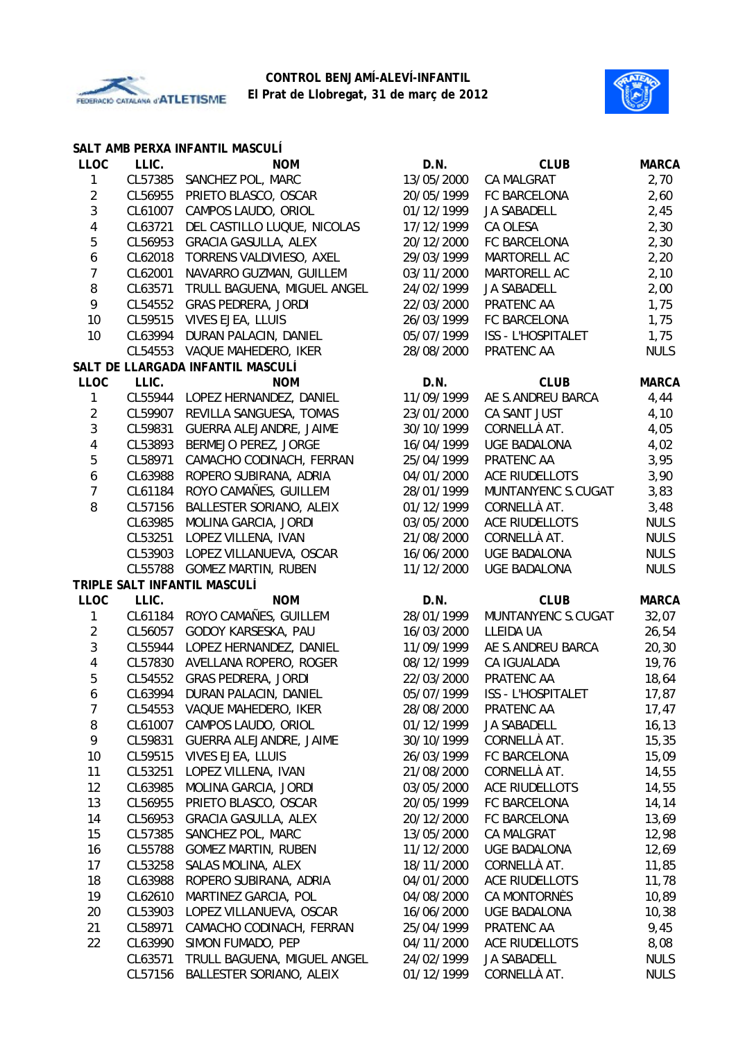



|                         |         | SALT AMB PERXA INFANTIL MASCULI   |            |                           |              |
|-------------------------|---------|-----------------------------------|------------|---------------------------|--------------|
| <b>LLOC</b>             | LLIC.   | <b>NOM</b>                        | D.N.       | <b>CLUB</b>               | <b>MARCA</b> |
| 1                       | CL57385 | SANCHEZ POL, MARC                 | 13/05/2000 | <b>CA MALGRAT</b>         | 2,70         |
| $\overline{2}$          | CL56955 | PRIETO BLASCO, OSCAR              | 20/05/1999 | FC BARCELONA              | 2,60         |
| 3                       | CL61007 | CAMPOS LAUDO, ORIOL               | 01/12/1999 | <b>JA SABADELL</b>        | 2,45         |
| 4                       | CL63721 | DEL CASTILLO LUQUE, NICOLAS       | 17/12/1999 | CA OLESA                  | 2,30         |
| 5                       | CL56953 | <b>GRACIA GASULLA, ALEX</b>       | 20/12/2000 | FC BARCELONA              | 2,30         |
| 6                       | CL62018 | TORRENS VALDIVIESO, AXEL          | 29/03/1999 | MARTORELL AC              | 2,20         |
| $\overline{7}$          | CL62001 | NAVARRO GUZMAN, GUILLEM           | 03/11/2000 | MARTORELL AC              | 2,10         |
| $\, 8$                  | CL63571 | TRULL BAGUENA, MIGUEL ANGEL       | 24/02/1999 | <b>JA SABADELL</b>        | 2,00         |
| 9                       | CL54552 | <b>GRAS PEDRERA, JORDI</b>        | 22/03/2000 | PRATENC AA                | 1,75         |
| 10                      | CL59515 | VIVES EJEA, LLUIS                 | 26/03/1999 | FC BARCELONA              | 1,75         |
| 10                      | CL63994 | DURAN PALACIN, DANIEL             | 05/07/1999 | <b>ISS - L'HOSPITALET</b> | 1,75         |
|                         | CL54553 | VAQUE MAHEDERO, IKER              | 28/08/2000 | PRATENC AA                | <b>NULS</b>  |
|                         |         | SALT DE LLARGADA INFANTIL MASCULÍ |            |                           |              |
| <b>LLOC</b>             | LLIC.   | <b>NOM</b>                        | D.N.       | <b>CLUB</b>               | <b>MARCA</b> |
| 1                       | CL55944 | LOPEZ HERNANDEZ, DANIEL           | 11/09/1999 | AE S.ANDREU BARCA         | 4,44         |
| $\overline{2}$          | CL59907 | REVILLA SANGUESA, TOMAS           | 23/01/2000 | CA SANT JUST              | 4,10         |
| 3                       | CL59831 | <b>GUERRA ALEJANDRE, JAIME</b>    | 30/10/1999 | CORNELLÀ AT.              | 4,05         |
| $\overline{\mathbf{4}}$ | CL53893 | BERMEJO PEREZ, JORGE              | 16/04/1999 | <b>UGE BADALONA</b>       | 4,02         |
| 5                       | CL58971 | CAMACHO CODINACH, FERRAN          | 25/04/1999 | PRATENC AA                | 3,95         |
| 6                       | CL63988 | ROPERO SUBIRANA, ADRIA            | 04/01/2000 | ACE RIUDELLOTS            | 3,90         |
| $\overline{7}$          | CL61184 | ROYO CAMAÑES, GUILLEM             | 28/01/1999 | MUNTANYENC S.CUGAT        | 3,83         |
| 8                       | CL57156 | BALLESTER SORIANO, ALEIX          | 01/12/1999 | CORNELLÀ AT.              | 3,48         |
|                         | CL63985 | MOLINA GARCIA, JORDI              | 03/05/2000 | <b>ACE RIUDELLOTS</b>     | <b>NULS</b>  |
|                         | CL53251 | LOPEZ VILLENA, IVAN               | 21/08/2000 | CORNELLÀ AT.              | <b>NULS</b>  |
|                         | CL53903 | LOPEZ VILLANUEVA, OSCAR           | 16/06/2000 | <b>UGE BADALONA</b>       | <b>NULS</b>  |
|                         |         | CL55788 GOMEZ MARTIN, RUBEN       | 11/12/2000 | <b>UGE BADALONA</b>       | <b>NULS</b>  |
|                         |         | TRIPLE SALT INFANTIL MASCULÍ      |            |                           |              |
| <b>LLOC</b>             | LLIC.   | <b>NOM</b>                        | D.N.       | <b>CLUB</b>               | <b>MARCA</b> |
| 1                       |         | CL61184 ROYO CAMAÑES, GUILLEM     | 28/01/1999 | MUNTANYENC S.CUGAT        | 32,07        |
| $\overline{2}$          | CL56057 | GODOY KARSESKA, PAU               | 16/03/2000 | LLEIDA UA                 | 26,54        |
| 3                       | CL55944 | LOPEZ HERNANDEZ, DANIEL           | 11/09/1999 | AE S.ANDREU BARCA         | 20, 30       |
| $\overline{\mathbf{4}}$ | CL57830 | AVELLANA ROPERO, ROGER            | 08/12/1999 | CA IGUALADA               | 19,76        |
| 5                       | CL54552 | <b>GRAS PEDRERA, JORDI</b>        | 22/03/2000 | PRATENC AA                | 18,64        |
| 6                       |         | CL63994 DURAN PALACIN, DANIEL     | 05/07/1999 | ISS - L'HOSPITALET        | 17,87        |
| 7                       |         | CL54553 VAQUE MAHEDERO, IKER      | 28/08/2000 | PRATENC AA                | 17,47        |
| 8                       | CL61007 | CAMPOS LAUDO, ORIOL               | 01/12/1999 | JA SABADELL               | 16, 13       |
| 9                       | CL59831 | GUERRA ALEJANDRE, JAIME           | 30/10/1999 | CORNELLÀ AT.              | 15,35        |
| 10                      | CL59515 | VIVES EJEA, LLUIS                 | 26/03/1999 | FC BARCELONA              | 15,09        |
| 11                      | CL53251 | LOPEZ VILLENA, IVAN               | 21/08/2000 | CORNELLÀ AT.              | 14,55        |
| 12                      | CL63985 | MOLINA GARCIA, JORDI              | 03/05/2000 | ACE RIUDELLOTS            | 14,55        |
| 13                      | CL56955 | PRIETO BLASCO, OSCAR              | 20/05/1999 | FC BARCELONA              | 14,14        |
| 14                      | CL56953 | <b>GRACIA GASULLA, ALEX</b>       | 20/12/2000 | FC BARCELONA              | 13,69        |
| 15                      | CL57385 | SANCHEZ POL, MARC                 | 13/05/2000 | CA MALGRAT                | 12,98        |
| 16                      | CL55788 | <b>GOMEZ MARTIN, RUBEN</b>        | 11/12/2000 | UGE BADALONA              | 12,69        |
| 17                      | CL53258 | SALAS MOLINA, ALEX                | 18/11/2000 | CORNELLÀ AT.              | 11,85        |
| 18                      | CL63988 | ROPERO SUBIRANA, ADRIA            | 04/01/2000 | ACE RIUDELLOTS            | 11,78        |
| 19                      | CL62610 | MARTINEZ GARCIA, POL              | 04/08/2000 | CA MONTORNÈS              | 10,89        |
| 20                      | CL53903 | LOPEZ VILLANUEVA, OSCAR           | 16/06/2000 | <b>UGE BADALONA</b>       | 10,38        |
| 21                      | CL58971 | CAMACHO CODINACH, FERRAN          | 25/04/1999 | PRATENC AA                | 9,45         |
| 22                      | CL63990 | SIMON FUMADO, PEP                 | 04/11/2000 | ACE RIUDELLOTS            | 8,08         |
|                         | CL63571 | TRULL BAGUENA, MIGUEL ANGEL       | 24/02/1999 | JA SABADELL               | <b>NULS</b>  |
|                         | CL57156 | BALLESTER SORIANO, ALEIX          | 01/12/1999 | CORNELLÀ AT.              | <b>NULS</b>  |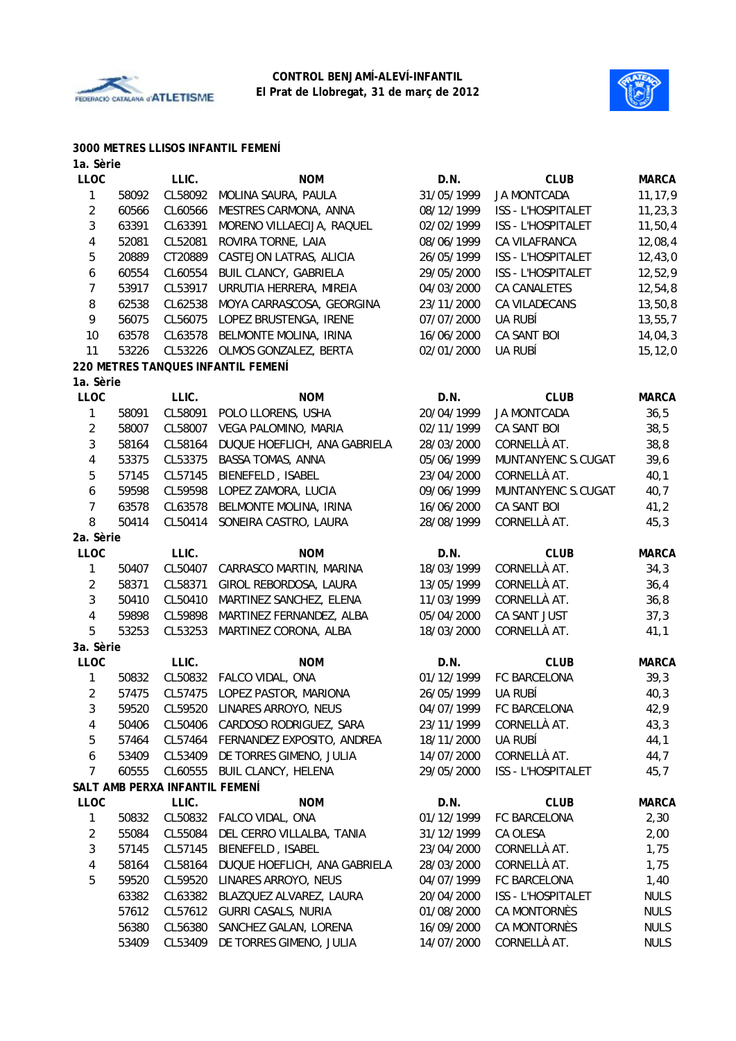



#### **3000 METRES LLISOS INFANTIL FEMENÍ**

| <b>LLOC</b><br>LLIC.<br>D.N.<br><b>CLUB</b><br><b>NOM</b><br><b>MARCA</b><br>CL58092<br>31/05/1999<br><b>JA MONTCADA</b><br>1<br>58092<br>MOLINA SAURA, PAULA<br>11, 17, 9<br>$\overline{c}$<br>CL60566<br>MESTRES CARMONA, ANNA<br>ISS - L'HOSPITALET<br>11, 23, 3<br>60566<br>08/12/1999<br>3<br>63391<br>CL63391<br>11, 50, 4<br>MORENO VILLAECIJA, RAQUEL<br>02/02/1999<br>ISS - L'HOSPITALET<br>4<br>52081<br>CL52081<br>ROVIRA TORNE, LAIA<br>08/06/1999<br>12,08,4<br>CA VILAFRANCA<br>5<br>20889<br>CT20889<br>12,43,0<br>CASTEJON LATRAS, ALICIA<br>26/05/1999<br>ISS - L'HOSPITALET<br><b>BUIL CLANCY, GABRIELA</b><br>12,52,9<br>60554<br>CL60554<br>29/05/2000<br>ISS - L'HOSPITALET<br>6<br>7<br>53917<br>CL53917<br>URRUTIA HERRERA, MIREIA<br>04/03/2000<br><b>CA CANALETES</b><br>12,54,8<br>8<br>62538<br>CL62538<br>MOYA CARRASCOSA, GEORGINA<br>23/11/2000<br>CA VILADECANS<br>13, 50, 8<br>9<br>56075<br>CL56075<br>07/07/2000<br>UA RUBÍ<br>LOPEZ BRUSTENGA, IRENE<br>13, 55, 7<br>10<br>63578<br>CL63578<br>CA SANT BOI<br>14,04,3<br>BELMONTE MOLINA, IRINA<br>16/06/2000<br>53226<br>CL53226<br>02/01/2000<br>UA RUBÍ<br>11<br>OLMOS GONZALEZ, BERTA<br>15, 12, 0<br>220 METRES TANQUES INFANTIL FEMENÍ<br>1a. Sèrie<br><b>LLOC</b><br>LLIC.<br><b>NOM</b><br>D.N.<br><b>CLUB</b><br><b>MARCA</b><br>1<br>CL58091<br>20/04/1999<br><b>JA MONTCADA</b><br>36,5<br>58091<br>POLO LLORENS, USHA<br>$\overline{c}$<br>CL58007<br>VEGA PALOMINO, MARIA<br>02/11/1999<br>CA SANT BOI<br>38,5<br>58007<br>3<br>38,8<br>58164<br>CL58164<br>DUQUE HOEFLICH, ANA GABRIELA<br>28/03/2000<br>CORNELLÀ AT.<br>4<br>53375<br>CL53375<br><b>BASSA TOMAS, ANNA</b><br>MUNTANYENC S.CUGAT<br>39,6<br>05/06/1999<br>CORNELLÀ AT.<br>5<br>57145<br>CL57145<br>BIENEFELD, ISABEL<br>40,1<br>23/04/2000<br>59598<br>CL59598<br>MUNTANYENC S.CUGAT<br>40,7<br>6<br>LOPEZ ZAMORA, LUCIA<br>09/06/1999<br>7<br>CL63578<br>CA SANT BOI<br>41,2<br>63578<br>BELMONTE MOLINA, IRINA<br>16/06/2000<br>8<br>CORNELLÀ AT.<br>CL50414<br>SONEIRA CASTRO, LAURA<br>28/08/1999<br>45,3<br>50414<br>2a. Sèrie<br><b>LLOC</b><br>LLIC.<br><b>NOM</b><br><b>CLUB</b><br><b>MARCA</b><br>D.N.<br>CORNELLÀ AT.<br>CL50407<br>CARRASCO MARTIN, MARINA<br>18/03/1999<br>34,3<br>1<br>50407<br>$\overline{2}$<br>CL58371<br>CORNELLÀ AT.<br>36,4<br>58371<br>GIROL REBORDOSA, LAURA<br>13/05/1999<br>3<br>50410<br>CL50410<br>MARTINEZ SANCHEZ, ELENA<br>11/03/1999<br>CORNELLÀ AT.<br>36,8<br>4<br>59898<br>MARTINEZ FERNANDEZ, ALBA<br>CA SANT JUST<br>37,3<br>CL59898<br>05/04/2000<br>5<br>CORNELLÀ AT.<br>CL53253<br>MARTINEZ CORONA, ALBA<br>53253<br>18/03/2000<br>41,1<br>3a. Sèrie<br>LLIC.<br>D.N.<br><b>CLUB</b><br><b>MARCA</b><br><b>LLOC</b><br><b>NOM</b><br>CL50832 FALCO VIDAL, ONA<br>01/12/1999<br>FC BARCELONA<br>39,3<br>1<br>50832<br>$\overline{2}$<br>57475<br>CL57475<br>LOPEZ PASTOR, MARIONA<br>26/05/1999<br>UA RUBÍ<br>40,3<br>3<br>59520<br>CL59520 LINARES ARROYO, NEUS<br>04/07/1999<br>FC BARCELONA<br>42,9<br>CL50406 CARDOSO RODRIGUEZ, SARA<br>CORNELLÀ AT.<br>23/11/1999<br>43,3<br>50406<br>4<br>5<br>57464<br>CL57464 FERNANDEZ EXPOSITO, ANDREA<br>UA RUBÍ<br>44,1<br>18/11/2000<br>CORNELLÀ AT.<br>6<br>53409<br>CL53409 DE TORRES GIMENO, JULIA<br>14/07/2000<br>44,7<br>$\overline{7}$<br>ISS - L'HOSPITALET<br>60555<br>CL60555<br>BUIL CLANCY, HELENA<br>29/05/2000<br>45,7<br>SALT AMB PERXA INFANTIL FEMENÍ<br><b>LLOC</b><br>LLIC.<br>D.N.<br><b>NOM</b><br><b>CLUB</b><br><b>MARCA</b><br>CL50832 FALCO VIDAL, ONA<br>01/12/1999<br>FC BARCELONA<br>1<br>50832<br>2,30<br>2<br>55084<br>CL55084<br>DEL CERRO VILLALBA, TANIA<br>31/12/1999<br>CA OLESA<br>2,00<br>CL57145<br>BIENEFELD, ISABEL<br>CORNELLÀ AT.<br>3<br>57145<br>23/04/2000<br>1,75<br>CORNELLÀ AT.<br>4<br>58164<br>CL58164<br>DUQUE HOEFLICH, ANA GABRIELA<br>28/03/2000<br>1,75<br>5<br>LINARES ARROYO, NEUS<br>FC BARCELONA<br>59520<br>CL59520<br>04/07/1999<br>1,40<br>63382<br>CL63382<br>BLAZQUEZ ALVAREZ, LAURA<br>20/04/2000<br>ISS - L'HOSPITALET<br><b>NULS</b><br>CA MONTORNÈS<br>57612<br>CL57612<br>GURRI CASALS, NURIA<br>01/08/2000<br><b>NULS</b><br>CL56380<br>SANCHEZ GALAN, LORENA<br>16/09/2000<br>CA MONTORNÈS<br><b>NULS</b><br>56380<br>CORNELLÀ AT.<br>DE TORRES GIMENO, JULIA<br><b>NULS</b><br>53409<br>CL53409<br>14/07/2000 | 1a. Sèrie |  |  |  |
|-----------------------------------------------------------------------------------------------------------------------------------------------------------------------------------------------------------------------------------------------------------------------------------------------------------------------------------------------------------------------------------------------------------------------------------------------------------------------------------------------------------------------------------------------------------------------------------------------------------------------------------------------------------------------------------------------------------------------------------------------------------------------------------------------------------------------------------------------------------------------------------------------------------------------------------------------------------------------------------------------------------------------------------------------------------------------------------------------------------------------------------------------------------------------------------------------------------------------------------------------------------------------------------------------------------------------------------------------------------------------------------------------------------------------------------------------------------------------------------------------------------------------------------------------------------------------------------------------------------------------------------------------------------------------------------------------------------------------------------------------------------------------------------------------------------------------------------------------------------------------------------------------------------------------------------------------------------------------------------------------------------------------------------------------------------------------------------------------------------------------------------------------------------------------------------------------------------------------------------------------------------------------------------------------------------------------------------------------------------------------------------------------------------------------------------------------------------------------------------------------------------------------------------------------------------------------------------------------------------------------------------------------------------------------------------------------------------------------------------------------------------------------------------------------------------------------------------------------------------------------------------------------------------------------------------------------------------------------------------------------------------------------------------------------------------------------------------------------------------------------------------------------------------------------------------------------------------------------------------------------------------------------------------------------------------------------------------------------------------------------------------------------------------------------------------------------------------------------------------------------------------------------------------------------------------------------------------------------------------------------------------------------------------------------------------------------------------------------------------------------------------------------------------------------------------------------------------------------------------------------------------------------------------------------------------------------------------------------------------------------------------------------------------------------------------------------------------------------------------------------------------------------------------------------------------------------------------------------------------------------------------------------------------------------------------------------------------------------------------|-----------|--|--|--|
|                                                                                                                                                                                                                                                                                                                                                                                                                                                                                                                                                                                                                                                                                                                                                                                                                                                                                                                                                                                                                                                                                                                                                                                                                                                                                                                                                                                                                                                                                                                                                                                                                                                                                                                                                                                                                                                                                                                                                                                                                                                                                                                                                                                                                                                                                                                                                                                                                                                                                                                                                                                                                                                                                                                                                                                                                                                                                                                                                                                                                                                                                                                                                                                                                                                                                                                                                                                                                                                                                                                                                                                                                                                                                                                                                                                                                                                                                                                                                                                                                                                                                                                                                                                                                                                                                                                                                           |           |  |  |  |
|                                                                                                                                                                                                                                                                                                                                                                                                                                                                                                                                                                                                                                                                                                                                                                                                                                                                                                                                                                                                                                                                                                                                                                                                                                                                                                                                                                                                                                                                                                                                                                                                                                                                                                                                                                                                                                                                                                                                                                                                                                                                                                                                                                                                                                                                                                                                                                                                                                                                                                                                                                                                                                                                                                                                                                                                                                                                                                                                                                                                                                                                                                                                                                                                                                                                                                                                                                                                                                                                                                                                                                                                                                                                                                                                                                                                                                                                                                                                                                                                                                                                                                                                                                                                                                                                                                                                                           |           |  |  |  |
|                                                                                                                                                                                                                                                                                                                                                                                                                                                                                                                                                                                                                                                                                                                                                                                                                                                                                                                                                                                                                                                                                                                                                                                                                                                                                                                                                                                                                                                                                                                                                                                                                                                                                                                                                                                                                                                                                                                                                                                                                                                                                                                                                                                                                                                                                                                                                                                                                                                                                                                                                                                                                                                                                                                                                                                                                                                                                                                                                                                                                                                                                                                                                                                                                                                                                                                                                                                                                                                                                                                                                                                                                                                                                                                                                                                                                                                                                                                                                                                                                                                                                                                                                                                                                                                                                                                                                           |           |  |  |  |
|                                                                                                                                                                                                                                                                                                                                                                                                                                                                                                                                                                                                                                                                                                                                                                                                                                                                                                                                                                                                                                                                                                                                                                                                                                                                                                                                                                                                                                                                                                                                                                                                                                                                                                                                                                                                                                                                                                                                                                                                                                                                                                                                                                                                                                                                                                                                                                                                                                                                                                                                                                                                                                                                                                                                                                                                                                                                                                                                                                                                                                                                                                                                                                                                                                                                                                                                                                                                                                                                                                                                                                                                                                                                                                                                                                                                                                                                                                                                                                                                                                                                                                                                                                                                                                                                                                                                                           |           |  |  |  |
|                                                                                                                                                                                                                                                                                                                                                                                                                                                                                                                                                                                                                                                                                                                                                                                                                                                                                                                                                                                                                                                                                                                                                                                                                                                                                                                                                                                                                                                                                                                                                                                                                                                                                                                                                                                                                                                                                                                                                                                                                                                                                                                                                                                                                                                                                                                                                                                                                                                                                                                                                                                                                                                                                                                                                                                                                                                                                                                                                                                                                                                                                                                                                                                                                                                                                                                                                                                                                                                                                                                                                                                                                                                                                                                                                                                                                                                                                                                                                                                                                                                                                                                                                                                                                                                                                                                                                           |           |  |  |  |
|                                                                                                                                                                                                                                                                                                                                                                                                                                                                                                                                                                                                                                                                                                                                                                                                                                                                                                                                                                                                                                                                                                                                                                                                                                                                                                                                                                                                                                                                                                                                                                                                                                                                                                                                                                                                                                                                                                                                                                                                                                                                                                                                                                                                                                                                                                                                                                                                                                                                                                                                                                                                                                                                                                                                                                                                                                                                                                                                                                                                                                                                                                                                                                                                                                                                                                                                                                                                                                                                                                                                                                                                                                                                                                                                                                                                                                                                                                                                                                                                                                                                                                                                                                                                                                                                                                                                                           |           |  |  |  |
|                                                                                                                                                                                                                                                                                                                                                                                                                                                                                                                                                                                                                                                                                                                                                                                                                                                                                                                                                                                                                                                                                                                                                                                                                                                                                                                                                                                                                                                                                                                                                                                                                                                                                                                                                                                                                                                                                                                                                                                                                                                                                                                                                                                                                                                                                                                                                                                                                                                                                                                                                                                                                                                                                                                                                                                                                                                                                                                                                                                                                                                                                                                                                                                                                                                                                                                                                                                                                                                                                                                                                                                                                                                                                                                                                                                                                                                                                                                                                                                                                                                                                                                                                                                                                                                                                                                                                           |           |  |  |  |
|                                                                                                                                                                                                                                                                                                                                                                                                                                                                                                                                                                                                                                                                                                                                                                                                                                                                                                                                                                                                                                                                                                                                                                                                                                                                                                                                                                                                                                                                                                                                                                                                                                                                                                                                                                                                                                                                                                                                                                                                                                                                                                                                                                                                                                                                                                                                                                                                                                                                                                                                                                                                                                                                                                                                                                                                                                                                                                                                                                                                                                                                                                                                                                                                                                                                                                                                                                                                                                                                                                                                                                                                                                                                                                                                                                                                                                                                                                                                                                                                                                                                                                                                                                                                                                                                                                                                                           |           |  |  |  |
|                                                                                                                                                                                                                                                                                                                                                                                                                                                                                                                                                                                                                                                                                                                                                                                                                                                                                                                                                                                                                                                                                                                                                                                                                                                                                                                                                                                                                                                                                                                                                                                                                                                                                                                                                                                                                                                                                                                                                                                                                                                                                                                                                                                                                                                                                                                                                                                                                                                                                                                                                                                                                                                                                                                                                                                                                                                                                                                                                                                                                                                                                                                                                                                                                                                                                                                                                                                                                                                                                                                                                                                                                                                                                                                                                                                                                                                                                                                                                                                                                                                                                                                                                                                                                                                                                                                                                           |           |  |  |  |
|                                                                                                                                                                                                                                                                                                                                                                                                                                                                                                                                                                                                                                                                                                                                                                                                                                                                                                                                                                                                                                                                                                                                                                                                                                                                                                                                                                                                                                                                                                                                                                                                                                                                                                                                                                                                                                                                                                                                                                                                                                                                                                                                                                                                                                                                                                                                                                                                                                                                                                                                                                                                                                                                                                                                                                                                                                                                                                                                                                                                                                                                                                                                                                                                                                                                                                                                                                                                                                                                                                                                                                                                                                                                                                                                                                                                                                                                                                                                                                                                                                                                                                                                                                                                                                                                                                                                                           |           |  |  |  |
|                                                                                                                                                                                                                                                                                                                                                                                                                                                                                                                                                                                                                                                                                                                                                                                                                                                                                                                                                                                                                                                                                                                                                                                                                                                                                                                                                                                                                                                                                                                                                                                                                                                                                                                                                                                                                                                                                                                                                                                                                                                                                                                                                                                                                                                                                                                                                                                                                                                                                                                                                                                                                                                                                                                                                                                                                                                                                                                                                                                                                                                                                                                                                                                                                                                                                                                                                                                                                                                                                                                                                                                                                                                                                                                                                                                                                                                                                                                                                                                                                                                                                                                                                                                                                                                                                                                                                           |           |  |  |  |
|                                                                                                                                                                                                                                                                                                                                                                                                                                                                                                                                                                                                                                                                                                                                                                                                                                                                                                                                                                                                                                                                                                                                                                                                                                                                                                                                                                                                                                                                                                                                                                                                                                                                                                                                                                                                                                                                                                                                                                                                                                                                                                                                                                                                                                                                                                                                                                                                                                                                                                                                                                                                                                                                                                                                                                                                                                                                                                                                                                                                                                                                                                                                                                                                                                                                                                                                                                                                                                                                                                                                                                                                                                                                                                                                                                                                                                                                                                                                                                                                                                                                                                                                                                                                                                                                                                                                                           |           |  |  |  |
|                                                                                                                                                                                                                                                                                                                                                                                                                                                                                                                                                                                                                                                                                                                                                                                                                                                                                                                                                                                                                                                                                                                                                                                                                                                                                                                                                                                                                                                                                                                                                                                                                                                                                                                                                                                                                                                                                                                                                                                                                                                                                                                                                                                                                                                                                                                                                                                                                                                                                                                                                                                                                                                                                                                                                                                                                                                                                                                                                                                                                                                                                                                                                                                                                                                                                                                                                                                                                                                                                                                                                                                                                                                                                                                                                                                                                                                                                                                                                                                                                                                                                                                                                                                                                                                                                                                                                           |           |  |  |  |
|                                                                                                                                                                                                                                                                                                                                                                                                                                                                                                                                                                                                                                                                                                                                                                                                                                                                                                                                                                                                                                                                                                                                                                                                                                                                                                                                                                                                                                                                                                                                                                                                                                                                                                                                                                                                                                                                                                                                                                                                                                                                                                                                                                                                                                                                                                                                                                                                                                                                                                                                                                                                                                                                                                                                                                                                                                                                                                                                                                                                                                                                                                                                                                                                                                                                                                                                                                                                                                                                                                                                                                                                                                                                                                                                                                                                                                                                                                                                                                                                                                                                                                                                                                                                                                                                                                                                                           |           |  |  |  |
|                                                                                                                                                                                                                                                                                                                                                                                                                                                                                                                                                                                                                                                                                                                                                                                                                                                                                                                                                                                                                                                                                                                                                                                                                                                                                                                                                                                                                                                                                                                                                                                                                                                                                                                                                                                                                                                                                                                                                                                                                                                                                                                                                                                                                                                                                                                                                                                                                                                                                                                                                                                                                                                                                                                                                                                                                                                                                                                                                                                                                                                                                                                                                                                                                                                                                                                                                                                                                                                                                                                                                                                                                                                                                                                                                                                                                                                                                                                                                                                                                                                                                                                                                                                                                                                                                                                                                           |           |  |  |  |
|                                                                                                                                                                                                                                                                                                                                                                                                                                                                                                                                                                                                                                                                                                                                                                                                                                                                                                                                                                                                                                                                                                                                                                                                                                                                                                                                                                                                                                                                                                                                                                                                                                                                                                                                                                                                                                                                                                                                                                                                                                                                                                                                                                                                                                                                                                                                                                                                                                                                                                                                                                                                                                                                                                                                                                                                                                                                                                                                                                                                                                                                                                                                                                                                                                                                                                                                                                                                                                                                                                                                                                                                                                                                                                                                                                                                                                                                                                                                                                                                                                                                                                                                                                                                                                                                                                                                                           |           |  |  |  |
|                                                                                                                                                                                                                                                                                                                                                                                                                                                                                                                                                                                                                                                                                                                                                                                                                                                                                                                                                                                                                                                                                                                                                                                                                                                                                                                                                                                                                                                                                                                                                                                                                                                                                                                                                                                                                                                                                                                                                                                                                                                                                                                                                                                                                                                                                                                                                                                                                                                                                                                                                                                                                                                                                                                                                                                                                                                                                                                                                                                                                                                                                                                                                                                                                                                                                                                                                                                                                                                                                                                                                                                                                                                                                                                                                                                                                                                                                                                                                                                                                                                                                                                                                                                                                                                                                                                                                           |           |  |  |  |
|                                                                                                                                                                                                                                                                                                                                                                                                                                                                                                                                                                                                                                                                                                                                                                                                                                                                                                                                                                                                                                                                                                                                                                                                                                                                                                                                                                                                                                                                                                                                                                                                                                                                                                                                                                                                                                                                                                                                                                                                                                                                                                                                                                                                                                                                                                                                                                                                                                                                                                                                                                                                                                                                                                                                                                                                                                                                                                                                                                                                                                                                                                                                                                                                                                                                                                                                                                                                                                                                                                                                                                                                                                                                                                                                                                                                                                                                                                                                                                                                                                                                                                                                                                                                                                                                                                                                                           |           |  |  |  |
|                                                                                                                                                                                                                                                                                                                                                                                                                                                                                                                                                                                                                                                                                                                                                                                                                                                                                                                                                                                                                                                                                                                                                                                                                                                                                                                                                                                                                                                                                                                                                                                                                                                                                                                                                                                                                                                                                                                                                                                                                                                                                                                                                                                                                                                                                                                                                                                                                                                                                                                                                                                                                                                                                                                                                                                                                                                                                                                                                                                                                                                                                                                                                                                                                                                                                                                                                                                                                                                                                                                                                                                                                                                                                                                                                                                                                                                                                                                                                                                                                                                                                                                                                                                                                                                                                                                                                           |           |  |  |  |
|                                                                                                                                                                                                                                                                                                                                                                                                                                                                                                                                                                                                                                                                                                                                                                                                                                                                                                                                                                                                                                                                                                                                                                                                                                                                                                                                                                                                                                                                                                                                                                                                                                                                                                                                                                                                                                                                                                                                                                                                                                                                                                                                                                                                                                                                                                                                                                                                                                                                                                                                                                                                                                                                                                                                                                                                                                                                                                                                                                                                                                                                                                                                                                                                                                                                                                                                                                                                                                                                                                                                                                                                                                                                                                                                                                                                                                                                                                                                                                                                                                                                                                                                                                                                                                                                                                                                                           |           |  |  |  |
|                                                                                                                                                                                                                                                                                                                                                                                                                                                                                                                                                                                                                                                                                                                                                                                                                                                                                                                                                                                                                                                                                                                                                                                                                                                                                                                                                                                                                                                                                                                                                                                                                                                                                                                                                                                                                                                                                                                                                                                                                                                                                                                                                                                                                                                                                                                                                                                                                                                                                                                                                                                                                                                                                                                                                                                                                                                                                                                                                                                                                                                                                                                                                                                                                                                                                                                                                                                                                                                                                                                                                                                                                                                                                                                                                                                                                                                                                                                                                                                                                                                                                                                                                                                                                                                                                                                                                           |           |  |  |  |
|                                                                                                                                                                                                                                                                                                                                                                                                                                                                                                                                                                                                                                                                                                                                                                                                                                                                                                                                                                                                                                                                                                                                                                                                                                                                                                                                                                                                                                                                                                                                                                                                                                                                                                                                                                                                                                                                                                                                                                                                                                                                                                                                                                                                                                                                                                                                                                                                                                                                                                                                                                                                                                                                                                                                                                                                                                                                                                                                                                                                                                                                                                                                                                                                                                                                                                                                                                                                                                                                                                                                                                                                                                                                                                                                                                                                                                                                                                                                                                                                                                                                                                                                                                                                                                                                                                                                                           |           |  |  |  |
|                                                                                                                                                                                                                                                                                                                                                                                                                                                                                                                                                                                                                                                                                                                                                                                                                                                                                                                                                                                                                                                                                                                                                                                                                                                                                                                                                                                                                                                                                                                                                                                                                                                                                                                                                                                                                                                                                                                                                                                                                                                                                                                                                                                                                                                                                                                                                                                                                                                                                                                                                                                                                                                                                                                                                                                                                                                                                                                                                                                                                                                                                                                                                                                                                                                                                                                                                                                                                                                                                                                                                                                                                                                                                                                                                                                                                                                                                                                                                                                                                                                                                                                                                                                                                                                                                                                                                           |           |  |  |  |
|                                                                                                                                                                                                                                                                                                                                                                                                                                                                                                                                                                                                                                                                                                                                                                                                                                                                                                                                                                                                                                                                                                                                                                                                                                                                                                                                                                                                                                                                                                                                                                                                                                                                                                                                                                                                                                                                                                                                                                                                                                                                                                                                                                                                                                                                                                                                                                                                                                                                                                                                                                                                                                                                                                                                                                                                                                                                                                                                                                                                                                                                                                                                                                                                                                                                                                                                                                                                                                                                                                                                                                                                                                                                                                                                                                                                                                                                                                                                                                                                                                                                                                                                                                                                                                                                                                                                                           |           |  |  |  |
|                                                                                                                                                                                                                                                                                                                                                                                                                                                                                                                                                                                                                                                                                                                                                                                                                                                                                                                                                                                                                                                                                                                                                                                                                                                                                                                                                                                                                                                                                                                                                                                                                                                                                                                                                                                                                                                                                                                                                                                                                                                                                                                                                                                                                                                                                                                                                                                                                                                                                                                                                                                                                                                                                                                                                                                                                                                                                                                                                                                                                                                                                                                                                                                                                                                                                                                                                                                                                                                                                                                                                                                                                                                                                                                                                                                                                                                                                                                                                                                                                                                                                                                                                                                                                                                                                                                                                           |           |  |  |  |
|                                                                                                                                                                                                                                                                                                                                                                                                                                                                                                                                                                                                                                                                                                                                                                                                                                                                                                                                                                                                                                                                                                                                                                                                                                                                                                                                                                                                                                                                                                                                                                                                                                                                                                                                                                                                                                                                                                                                                                                                                                                                                                                                                                                                                                                                                                                                                                                                                                                                                                                                                                                                                                                                                                                                                                                                                                                                                                                                                                                                                                                                                                                                                                                                                                                                                                                                                                                                                                                                                                                                                                                                                                                                                                                                                                                                                                                                                                                                                                                                                                                                                                                                                                                                                                                                                                                                                           |           |  |  |  |
|                                                                                                                                                                                                                                                                                                                                                                                                                                                                                                                                                                                                                                                                                                                                                                                                                                                                                                                                                                                                                                                                                                                                                                                                                                                                                                                                                                                                                                                                                                                                                                                                                                                                                                                                                                                                                                                                                                                                                                                                                                                                                                                                                                                                                                                                                                                                                                                                                                                                                                                                                                                                                                                                                                                                                                                                                                                                                                                                                                                                                                                                                                                                                                                                                                                                                                                                                                                                                                                                                                                                                                                                                                                                                                                                                                                                                                                                                                                                                                                                                                                                                                                                                                                                                                                                                                                                                           |           |  |  |  |
|                                                                                                                                                                                                                                                                                                                                                                                                                                                                                                                                                                                                                                                                                                                                                                                                                                                                                                                                                                                                                                                                                                                                                                                                                                                                                                                                                                                                                                                                                                                                                                                                                                                                                                                                                                                                                                                                                                                                                                                                                                                                                                                                                                                                                                                                                                                                                                                                                                                                                                                                                                                                                                                                                                                                                                                                                                                                                                                                                                                                                                                                                                                                                                                                                                                                                                                                                                                                                                                                                                                                                                                                                                                                                                                                                                                                                                                                                                                                                                                                                                                                                                                                                                                                                                                                                                                                                           |           |  |  |  |
|                                                                                                                                                                                                                                                                                                                                                                                                                                                                                                                                                                                                                                                                                                                                                                                                                                                                                                                                                                                                                                                                                                                                                                                                                                                                                                                                                                                                                                                                                                                                                                                                                                                                                                                                                                                                                                                                                                                                                                                                                                                                                                                                                                                                                                                                                                                                                                                                                                                                                                                                                                                                                                                                                                                                                                                                                                                                                                                                                                                                                                                                                                                                                                                                                                                                                                                                                                                                                                                                                                                                                                                                                                                                                                                                                                                                                                                                                                                                                                                                                                                                                                                                                                                                                                                                                                                                                           |           |  |  |  |
|                                                                                                                                                                                                                                                                                                                                                                                                                                                                                                                                                                                                                                                                                                                                                                                                                                                                                                                                                                                                                                                                                                                                                                                                                                                                                                                                                                                                                                                                                                                                                                                                                                                                                                                                                                                                                                                                                                                                                                                                                                                                                                                                                                                                                                                                                                                                                                                                                                                                                                                                                                                                                                                                                                                                                                                                                                                                                                                                                                                                                                                                                                                                                                                                                                                                                                                                                                                                                                                                                                                                                                                                                                                                                                                                                                                                                                                                                                                                                                                                                                                                                                                                                                                                                                                                                                                                                           |           |  |  |  |
|                                                                                                                                                                                                                                                                                                                                                                                                                                                                                                                                                                                                                                                                                                                                                                                                                                                                                                                                                                                                                                                                                                                                                                                                                                                                                                                                                                                                                                                                                                                                                                                                                                                                                                                                                                                                                                                                                                                                                                                                                                                                                                                                                                                                                                                                                                                                                                                                                                                                                                                                                                                                                                                                                                                                                                                                                                                                                                                                                                                                                                                                                                                                                                                                                                                                                                                                                                                                                                                                                                                                                                                                                                                                                                                                                                                                                                                                                                                                                                                                                                                                                                                                                                                                                                                                                                                                                           |           |  |  |  |
|                                                                                                                                                                                                                                                                                                                                                                                                                                                                                                                                                                                                                                                                                                                                                                                                                                                                                                                                                                                                                                                                                                                                                                                                                                                                                                                                                                                                                                                                                                                                                                                                                                                                                                                                                                                                                                                                                                                                                                                                                                                                                                                                                                                                                                                                                                                                                                                                                                                                                                                                                                                                                                                                                                                                                                                                                                                                                                                                                                                                                                                                                                                                                                                                                                                                                                                                                                                                                                                                                                                                                                                                                                                                                                                                                                                                                                                                                                                                                                                                                                                                                                                                                                                                                                                                                                                                                           |           |  |  |  |
|                                                                                                                                                                                                                                                                                                                                                                                                                                                                                                                                                                                                                                                                                                                                                                                                                                                                                                                                                                                                                                                                                                                                                                                                                                                                                                                                                                                                                                                                                                                                                                                                                                                                                                                                                                                                                                                                                                                                                                                                                                                                                                                                                                                                                                                                                                                                                                                                                                                                                                                                                                                                                                                                                                                                                                                                                                                                                                                                                                                                                                                                                                                                                                                                                                                                                                                                                                                                                                                                                                                                                                                                                                                                                                                                                                                                                                                                                                                                                                                                                                                                                                                                                                                                                                                                                                                                                           |           |  |  |  |
|                                                                                                                                                                                                                                                                                                                                                                                                                                                                                                                                                                                                                                                                                                                                                                                                                                                                                                                                                                                                                                                                                                                                                                                                                                                                                                                                                                                                                                                                                                                                                                                                                                                                                                                                                                                                                                                                                                                                                                                                                                                                                                                                                                                                                                                                                                                                                                                                                                                                                                                                                                                                                                                                                                                                                                                                                                                                                                                                                                                                                                                                                                                                                                                                                                                                                                                                                                                                                                                                                                                                                                                                                                                                                                                                                                                                                                                                                                                                                                                                                                                                                                                                                                                                                                                                                                                                                           |           |  |  |  |
|                                                                                                                                                                                                                                                                                                                                                                                                                                                                                                                                                                                                                                                                                                                                                                                                                                                                                                                                                                                                                                                                                                                                                                                                                                                                                                                                                                                                                                                                                                                                                                                                                                                                                                                                                                                                                                                                                                                                                                                                                                                                                                                                                                                                                                                                                                                                                                                                                                                                                                                                                                                                                                                                                                                                                                                                                                                                                                                                                                                                                                                                                                                                                                                                                                                                                                                                                                                                                                                                                                                                                                                                                                                                                                                                                                                                                                                                                                                                                                                                                                                                                                                                                                                                                                                                                                                                                           |           |  |  |  |
|                                                                                                                                                                                                                                                                                                                                                                                                                                                                                                                                                                                                                                                                                                                                                                                                                                                                                                                                                                                                                                                                                                                                                                                                                                                                                                                                                                                                                                                                                                                                                                                                                                                                                                                                                                                                                                                                                                                                                                                                                                                                                                                                                                                                                                                                                                                                                                                                                                                                                                                                                                                                                                                                                                                                                                                                                                                                                                                                                                                                                                                                                                                                                                                                                                                                                                                                                                                                                                                                                                                                                                                                                                                                                                                                                                                                                                                                                                                                                                                                                                                                                                                                                                                                                                                                                                                                                           |           |  |  |  |
|                                                                                                                                                                                                                                                                                                                                                                                                                                                                                                                                                                                                                                                                                                                                                                                                                                                                                                                                                                                                                                                                                                                                                                                                                                                                                                                                                                                                                                                                                                                                                                                                                                                                                                                                                                                                                                                                                                                                                                                                                                                                                                                                                                                                                                                                                                                                                                                                                                                                                                                                                                                                                                                                                                                                                                                                                                                                                                                                                                                                                                                                                                                                                                                                                                                                                                                                                                                                                                                                                                                                                                                                                                                                                                                                                                                                                                                                                                                                                                                                                                                                                                                                                                                                                                                                                                                                                           |           |  |  |  |
|                                                                                                                                                                                                                                                                                                                                                                                                                                                                                                                                                                                                                                                                                                                                                                                                                                                                                                                                                                                                                                                                                                                                                                                                                                                                                                                                                                                                                                                                                                                                                                                                                                                                                                                                                                                                                                                                                                                                                                                                                                                                                                                                                                                                                                                                                                                                                                                                                                                                                                                                                                                                                                                                                                                                                                                                                                                                                                                                                                                                                                                                                                                                                                                                                                                                                                                                                                                                                                                                                                                                                                                                                                                                                                                                                                                                                                                                                                                                                                                                                                                                                                                                                                                                                                                                                                                                                           |           |  |  |  |
|                                                                                                                                                                                                                                                                                                                                                                                                                                                                                                                                                                                                                                                                                                                                                                                                                                                                                                                                                                                                                                                                                                                                                                                                                                                                                                                                                                                                                                                                                                                                                                                                                                                                                                                                                                                                                                                                                                                                                                                                                                                                                                                                                                                                                                                                                                                                                                                                                                                                                                                                                                                                                                                                                                                                                                                                                                                                                                                                                                                                                                                                                                                                                                                                                                                                                                                                                                                                                                                                                                                                                                                                                                                                                                                                                                                                                                                                                                                                                                                                                                                                                                                                                                                                                                                                                                                                                           |           |  |  |  |
|                                                                                                                                                                                                                                                                                                                                                                                                                                                                                                                                                                                                                                                                                                                                                                                                                                                                                                                                                                                                                                                                                                                                                                                                                                                                                                                                                                                                                                                                                                                                                                                                                                                                                                                                                                                                                                                                                                                                                                                                                                                                                                                                                                                                                                                                                                                                                                                                                                                                                                                                                                                                                                                                                                                                                                                                                                                                                                                                                                                                                                                                                                                                                                                                                                                                                                                                                                                                                                                                                                                                                                                                                                                                                                                                                                                                                                                                                                                                                                                                                                                                                                                                                                                                                                                                                                                                                           |           |  |  |  |
|                                                                                                                                                                                                                                                                                                                                                                                                                                                                                                                                                                                                                                                                                                                                                                                                                                                                                                                                                                                                                                                                                                                                                                                                                                                                                                                                                                                                                                                                                                                                                                                                                                                                                                                                                                                                                                                                                                                                                                                                                                                                                                                                                                                                                                                                                                                                                                                                                                                                                                                                                                                                                                                                                                                                                                                                                                                                                                                                                                                                                                                                                                                                                                                                                                                                                                                                                                                                                                                                                                                                                                                                                                                                                                                                                                                                                                                                                                                                                                                                                                                                                                                                                                                                                                                                                                                                                           |           |  |  |  |
|                                                                                                                                                                                                                                                                                                                                                                                                                                                                                                                                                                                                                                                                                                                                                                                                                                                                                                                                                                                                                                                                                                                                                                                                                                                                                                                                                                                                                                                                                                                                                                                                                                                                                                                                                                                                                                                                                                                                                                                                                                                                                                                                                                                                                                                                                                                                                                                                                                                                                                                                                                                                                                                                                                                                                                                                                                                                                                                                                                                                                                                                                                                                                                                                                                                                                                                                                                                                                                                                                                                                                                                                                                                                                                                                                                                                                                                                                                                                                                                                                                                                                                                                                                                                                                                                                                                                                           |           |  |  |  |
|                                                                                                                                                                                                                                                                                                                                                                                                                                                                                                                                                                                                                                                                                                                                                                                                                                                                                                                                                                                                                                                                                                                                                                                                                                                                                                                                                                                                                                                                                                                                                                                                                                                                                                                                                                                                                                                                                                                                                                                                                                                                                                                                                                                                                                                                                                                                                                                                                                                                                                                                                                                                                                                                                                                                                                                                                                                                                                                                                                                                                                                                                                                                                                                                                                                                                                                                                                                                                                                                                                                                                                                                                                                                                                                                                                                                                                                                                                                                                                                                                                                                                                                                                                                                                                                                                                                                                           |           |  |  |  |
|                                                                                                                                                                                                                                                                                                                                                                                                                                                                                                                                                                                                                                                                                                                                                                                                                                                                                                                                                                                                                                                                                                                                                                                                                                                                                                                                                                                                                                                                                                                                                                                                                                                                                                                                                                                                                                                                                                                                                                                                                                                                                                                                                                                                                                                                                                                                                                                                                                                                                                                                                                                                                                                                                                                                                                                                                                                                                                                                                                                                                                                                                                                                                                                                                                                                                                                                                                                                                                                                                                                                                                                                                                                                                                                                                                                                                                                                                                                                                                                                                                                                                                                                                                                                                                                                                                                                                           |           |  |  |  |
|                                                                                                                                                                                                                                                                                                                                                                                                                                                                                                                                                                                                                                                                                                                                                                                                                                                                                                                                                                                                                                                                                                                                                                                                                                                                                                                                                                                                                                                                                                                                                                                                                                                                                                                                                                                                                                                                                                                                                                                                                                                                                                                                                                                                                                                                                                                                                                                                                                                                                                                                                                                                                                                                                                                                                                                                                                                                                                                                                                                                                                                                                                                                                                                                                                                                                                                                                                                                                                                                                                                                                                                                                                                                                                                                                                                                                                                                                                                                                                                                                                                                                                                                                                                                                                                                                                                                                           |           |  |  |  |
|                                                                                                                                                                                                                                                                                                                                                                                                                                                                                                                                                                                                                                                                                                                                                                                                                                                                                                                                                                                                                                                                                                                                                                                                                                                                                                                                                                                                                                                                                                                                                                                                                                                                                                                                                                                                                                                                                                                                                                                                                                                                                                                                                                                                                                                                                                                                                                                                                                                                                                                                                                                                                                                                                                                                                                                                                                                                                                                                                                                                                                                                                                                                                                                                                                                                                                                                                                                                                                                                                                                                                                                                                                                                                                                                                                                                                                                                                                                                                                                                                                                                                                                                                                                                                                                                                                                                                           |           |  |  |  |
|                                                                                                                                                                                                                                                                                                                                                                                                                                                                                                                                                                                                                                                                                                                                                                                                                                                                                                                                                                                                                                                                                                                                                                                                                                                                                                                                                                                                                                                                                                                                                                                                                                                                                                                                                                                                                                                                                                                                                                                                                                                                                                                                                                                                                                                                                                                                                                                                                                                                                                                                                                                                                                                                                                                                                                                                                                                                                                                                                                                                                                                                                                                                                                                                                                                                                                                                                                                                                                                                                                                                                                                                                                                                                                                                                                                                                                                                                                                                                                                                                                                                                                                                                                                                                                                                                                                                                           |           |  |  |  |
|                                                                                                                                                                                                                                                                                                                                                                                                                                                                                                                                                                                                                                                                                                                                                                                                                                                                                                                                                                                                                                                                                                                                                                                                                                                                                                                                                                                                                                                                                                                                                                                                                                                                                                                                                                                                                                                                                                                                                                                                                                                                                                                                                                                                                                                                                                                                                                                                                                                                                                                                                                                                                                                                                                                                                                                                                                                                                                                                                                                                                                                                                                                                                                                                                                                                                                                                                                                                                                                                                                                                                                                                                                                                                                                                                                                                                                                                                                                                                                                                                                                                                                                                                                                                                                                                                                                                                           |           |  |  |  |
|                                                                                                                                                                                                                                                                                                                                                                                                                                                                                                                                                                                                                                                                                                                                                                                                                                                                                                                                                                                                                                                                                                                                                                                                                                                                                                                                                                                                                                                                                                                                                                                                                                                                                                                                                                                                                                                                                                                                                                                                                                                                                                                                                                                                                                                                                                                                                                                                                                                                                                                                                                                                                                                                                                                                                                                                                                                                                                                                                                                                                                                                                                                                                                                                                                                                                                                                                                                                                                                                                                                                                                                                                                                                                                                                                                                                                                                                                                                                                                                                                                                                                                                                                                                                                                                                                                                                                           |           |  |  |  |
|                                                                                                                                                                                                                                                                                                                                                                                                                                                                                                                                                                                                                                                                                                                                                                                                                                                                                                                                                                                                                                                                                                                                                                                                                                                                                                                                                                                                                                                                                                                                                                                                                                                                                                                                                                                                                                                                                                                                                                                                                                                                                                                                                                                                                                                                                                                                                                                                                                                                                                                                                                                                                                                                                                                                                                                                                                                                                                                                                                                                                                                                                                                                                                                                                                                                                                                                                                                                                                                                                                                                                                                                                                                                                                                                                                                                                                                                                                                                                                                                                                                                                                                                                                                                                                                                                                                                                           |           |  |  |  |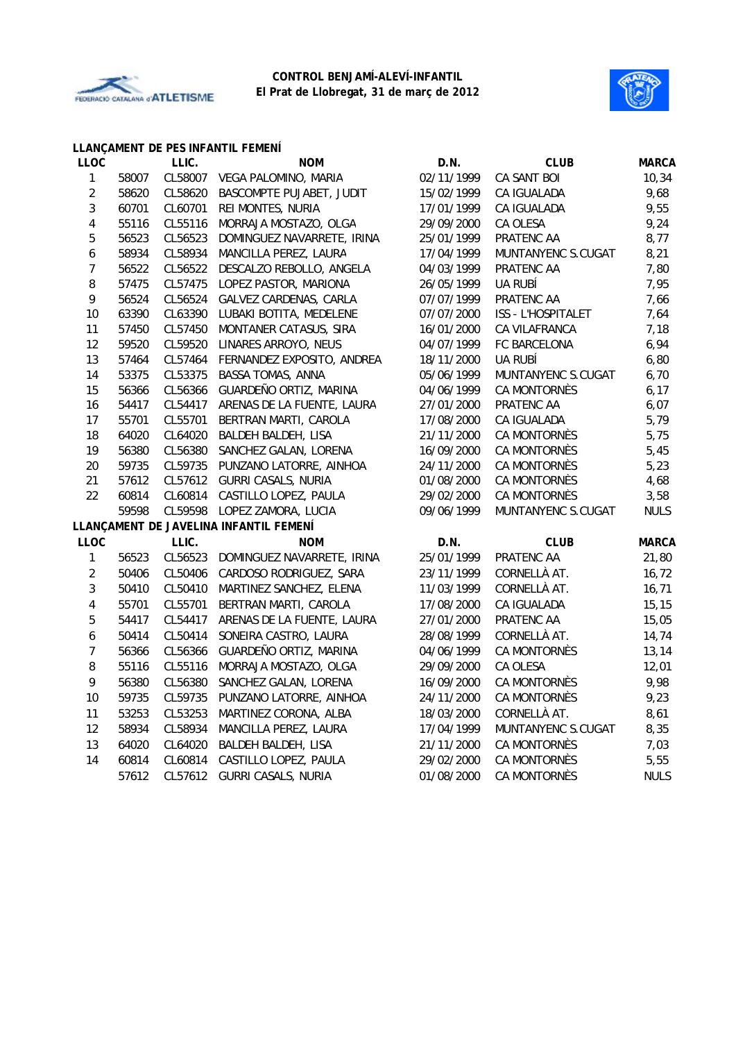



#### **LLANÇAMENT DE PES INFANTIL FEMENÍ**

| <b>LLOC</b>    |       | LLIC.   | <b>NOM</b>                             | D.N.       | <b>CLUB</b>         | <b>MARCA</b> |
|----------------|-------|---------|----------------------------------------|------------|---------------------|--------------|
| $\mathbf{1}$   | 58007 | CL58007 | VEGA PALOMINO, MARIA                   | 02/11/1999 | CA SANT BOI         | 10, 34       |
| $\overline{2}$ | 58620 | CL58620 | BASCOMPTE PUJABET, JUDIT               | 15/02/1999 | CA IGUALADA         | 9,68         |
| 3              | 60701 | CL60701 | REI MONTES, NURIA                      | 17/01/1999 | CA IGUALADA         | 9,55         |
| 4              | 55116 | CL55116 | MORRAJA MOSTAZO, OLGA                  | 29/09/2000 | CA OLESA            | 9,24         |
| 5              | 56523 | CL56523 | DOMINGUEZ NAVARRETE, IRINA             | 25/01/1999 | PRATENC AA          | 8,77         |
| 6              | 58934 | CL58934 | MANCILLA PEREZ, LAURA                  | 17/04/1999 | MUNTANYENC S.CUGAT  | 8,21         |
| $\overline{7}$ | 56522 | CL56522 | DESCALZO REBOLLO, ANGELA               | 04/03/1999 | PRATENC AA          | 7,80         |
| 8              | 57475 | CL57475 | LOPEZ PASTOR, MARIONA                  | 26/05/1999 | UA RUBÍ             | 7,95         |
| 9              | 56524 | CL56524 | GALVEZ CARDENAS, CARLA                 | 07/07/1999 | PRATENC AA          | 7,66         |
| 10             | 63390 | CL63390 | LUBAKI BOTITA, MEDELENE                | 07/07/2000 | ISS - L'HOSPITALET  | 7,64         |
| 11             | 57450 | CL57450 | MONTANER CATASUS, SIRA                 | 16/01/2000 | CA VILAFRANCA       | 7,18         |
| 12             | 59520 | CL59520 | LINARES ARROYO, NEUS                   | 04/07/1999 | FC BARCELONA        | 6,94         |
| 13             | 57464 | CL57464 | FERNANDEZ EXPOSITO, ANDREA             | 18/11/2000 | UA RUBÍ             | 6,80         |
| 14             | 53375 | CL53375 | <b>BASSA TOMAS, ANNA</b>               | 05/06/1999 | MUNTANYENC S.CUGAT  | 6,70         |
| 15             | 56366 | CL56366 | GUARDEÑO ORTIZ, MARINA                 | 04/06/1999 | <b>CA MONTORNÈS</b> | 6, 17        |
| 16             | 54417 | CL54417 | ARENAS DE LA FUENTE, LAURA             | 27/01/2000 | PRATENC AA          | 6,07         |
| 17             | 55701 | CL55701 | BERTRAN MARTI, CAROLA                  | 17/08/2000 | CA IGUALADA         | 5,79         |
| 18             | 64020 | CL64020 | BALDEH BALDEH, LISA                    | 21/11/2000 | CA MONTORNÈS        | 5,75         |
| 19             | 56380 | CL56380 | SANCHEZ GALAN, LORENA                  | 16/09/2000 | CA MONTORNÈS        | 5,45         |
| 20             | 59735 | CL59735 | PUNZANO LATORRE, AINHOA                | 24/11/2000 | <b>CA MONTORNÈS</b> | 5,23         |
| 21             | 57612 | CL57612 | GURRI CASALS, NURIA                    | 01/08/2000 | CA MONTORNÈS        | 4,68         |
| 22             | 60814 | CL60814 | CASTILLO LOPEZ, PAULA                  | 29/02/2000 | <b>CA MONTORNÈS</b> | 3,58         |
|                | 59598 | CL59598 | LOPEZ ZAMORA, LUCIA                    | 09/06/1999 | MUNTANYENC S.CUGAT  | <b>NULS</b>  |
|                |       |         | LLANÇAMENT DE JAVELINA INFANTIL FEMENÍ |            |                     |              |
| <b>LLOC</b>    |       | LLIC.   | <b>NOM</b>                             | D.N.       | <b>CLUB</b>         | <b>MARCA</b> |
| $\mathbf 1$    | 56523 | CL56523 | DOMINGUEZ NAVARRETE, IRINA             | 25/01/1999 | PRATENC AA          | 21,80        |
| $\overline{c}$ | 50406 | CL50406 | CARDOSO RODRIGUEZ, SARA                | 23/11/1999 | CORNELLÀ AT.        | 16,72        |
| 3              | 50410 | CL50410 | MARTINEZ SANCHEZ, ELENA                | 11/03/1999 | CORNELLÀ AT.        | 16, 71       |
| 4              | 55701 | CL55701 | BERTRAN MARTI, CAROLA                  | 17/08/2000 | CA IGUALADA         | 15, 15       |
| 5              | 54417 | CL54417 | ARENAS DE LA FUENTE, LAURA             | 27/01/2000 | PRATENC AA          | 15,05        |
| 6              | 50414 | CL50414 | SONEIRA CASTRO, LAURA                  | 28/08/1999 | CORNELLÀ AT.        | 14,74        |
| 7              | 56366 | CL56366 | GUARDEÑO ORTIZ, MARINA                 | 04/06/1999 | CA MONTORNÈS        | 13,14        |
| $\, 8$         | 55116 | CL55116 | MORRAJA MOSTAZO, OLGA                  | 29/09/2000 | CA OLESA            | 12,01        |
| 9              | 56380 | CL56380 | SANCHEZ GALAN, LORENA                  | 16/09/2000 | CA MONTORNÈS        | 9,98         |
| 10             | 59735 | CL59735 | PUNZANO LATORRE, AINHOA                | 24/11/2000 | CA MONTORNÈS        | 9,23         |
| 11             | 53253 | CL53253 | MARTINEZ CORONA, ALBA                  | 18/03/2000 | CORNELLÀ AT.        | 8,61         |
| 12             | 58934 | CL58934 | MANCILLA PEREZ, LAURA                  | 17/04/1999 | MUNTANYENC S.CUGAT  | 8,35         |
| 13             | 64020 | CL64020 | BALDEH BALDEH, LISA                    | 21/11/2000 | CA MONTORNÈS        | 7,03         |
| 14             | 60814 | CL60814 | CASTILLO LOPEZ, PAULA                  | 29/02/2000 | CA MONTORNÈS        | 5,55         |
|                | 57612 | CL57612 | <b>GURRI CASALS, NURIA</b>             | 01/08/2000 | CA MONTORNÈS        | <b>NULS</b>  |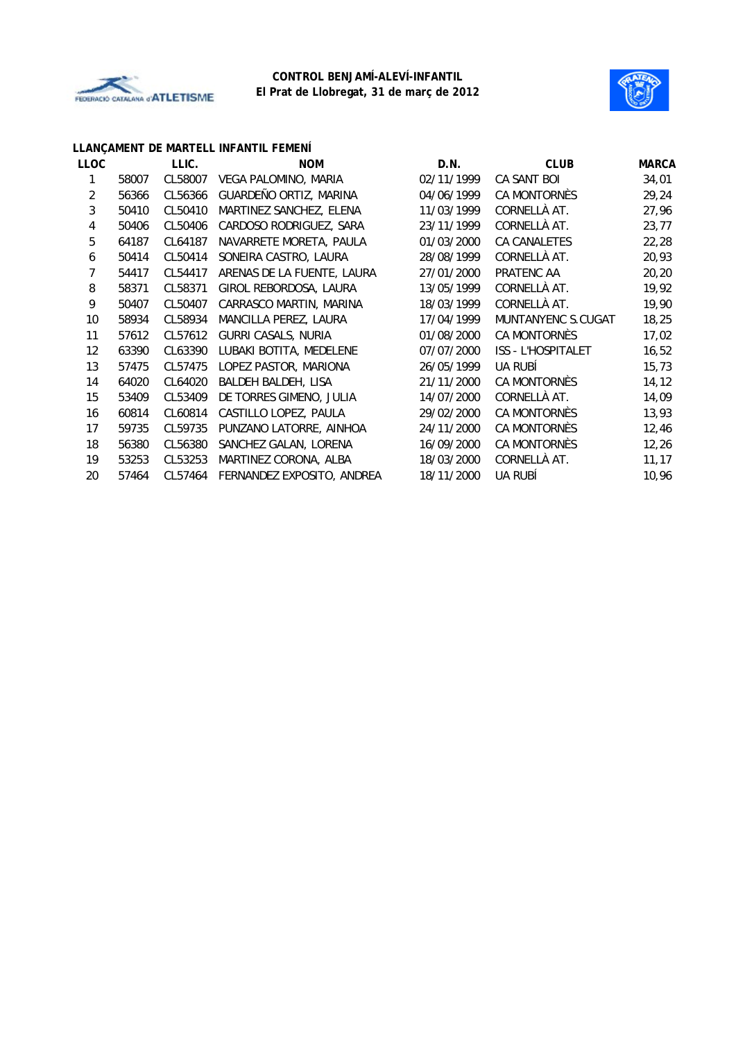



|       | LLIC.   | <b>NOM</b>                 | D.N.       | <b>CLUB</b>         | <b>MARCA</b> |
|-------|---------|----------------------------|------------|---------------------|--------------|
| 58007 | CL58007 | VEGA PALOMINO, MARIA       | 02/11/1999 | CA SANT BOI         | 34,01        |
| 56366 | CL56366 | GUARDEÑO ORTIZ, MARINA     | 04/06/1999 | CA MONTORNÈS        | 29,24        |
| 50410 | CL50410 | MARTINEZ SANCHEZ, ELENA    | 11/03/1999 | CORNELLÀ AT.        | 27,96        |
| 50406 | CL50406 | CARDOSO RODRIGUEZ, SARA    | 23/11/1999 | CORNELLÀ AT.        | 23,77        |
| 64187 | CL64187 | NAVARRETE MORETA, PAULA    | 01/03/2000 | CA CANALETES        | 22,28        |
| 50414 | CL50414 | SONEIRA CASTRO, LAURA      | 28/08/1999 | CORNELLÀ AT.        | 20,93        |
| 54417 | CL54417 | ARENAS DE LA FUENTE, LAURA | 27/01/2000 | PRATENC AA          | 20, 20       |
| 58371 | CL58371 | GIROL REBORDOSA, LAURA     | 13/05/1999 | CORNELLÀ AT.        | 19,92        |
| 50407 | CL50407 | CARRASCO MARTIN, MARINA    | 18/03/1999 | CORNELLÀ AT.        | 19,90        |
| 58934 | CL58934 | MANCILLA PEREZ, LAURA      | 17/04/1999 | MUNTANYENC S.CUGAT  | 18,25        |
| 57612 | CL57612 | GURRI CASALS, NURIA        | 01/08/2000 | CA MONTORNÈS        | 17,02        |
| 63390 | CL63390 | LUBAKI BOTITA, MEDELENE    | 07/07/2000 | ISS - L'HOSPITALET  | 16,52        |
| 57475 | CL57475 | LOPEZ PASTOR, MARIONA      | 26/05/1999 | UA RUBÍ             | 15,73        |
| 64020 | CL64020 | BALDEH BALDEH, LISA        | 21/11/2000 | CA MONTORNÈS        | 14, 12       |
| 53409 | CL53409 | DE TORRES GIMENO, JULIA    | 14/07/2000 | CORNELLÀ AT.        | 14,09        |
| 60814 | CL60814 | CASTILLO LOPEZ, PAULA      | 29/02/2000 | <b>CA MONTORNÈS</b> | 13,93        |
| 59735 | CL59735 | PUNZANO LATORRE, AINHOA    | 24/11/2000 | CA MONTORNÈS        | 12,46        |
| 56380 | CL56380 | SANCHEZ GALAN, LORENA      | 16/09/2000 | CA MONTORNÈS        | 12,26        |
| 53253 | CL53253 | MARTINEZ CORONA, ALBA      | 18/03/2000 | CORNELLÀ AT.        | 11, 17       |
| 57464 | CL57464 | FERNANDEZ EXPOSITO, ANDREA | 18/11/2000 | UA RUBÍ             | 10,96        |
|       |         |                            |            |                     |              |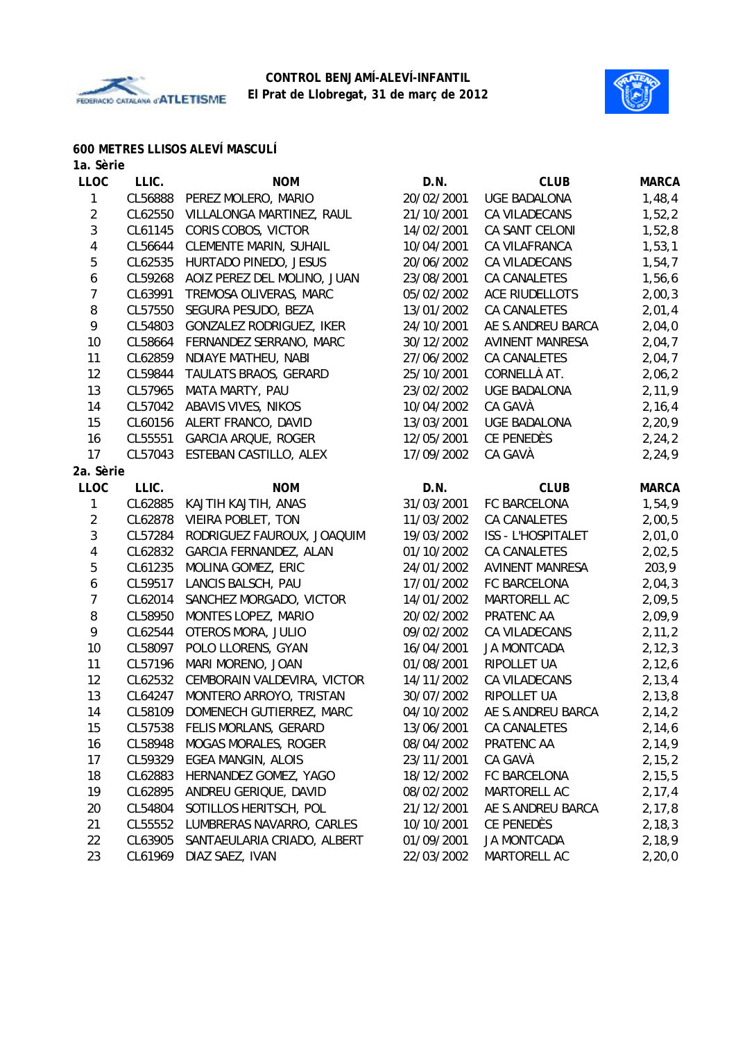



### **600 METRES LLISOS ALEVÍ MASCULÍ**

| 1a. Sèrie               |         |                                  |            |                           |              |
|-------------------------|---------|----------------------------------|------------|---------------------------|--------------|
| <b>LLOC</b>             | LLIC.   | <b>NOM</b>                       | D.N.       | <b>CLUB</b>               | <b>MARCA</b> |
| 1                       | CL56888 | PEREZ MOLERO, MARIO              | 20/02/2001 | <b>UGE BADALONA</b>       | 1,48,4       |
| $\overline{2}$          | CL62550 | VILLALONGA MARTINEZ, RAUL        | 21/10/2001 | CA VILADECANS             | 1,52,2       |
| $\sqrt{3}$              | CL61145 | CORIS COBOS, VICTOR              | 14/02/2001 | CA SANT CELONI            | 1,52,8       |
| 4                       | CL56644 | <b>CLEMENTE MARIN, SUHAIL</b>    | 10/04/2001 | CA VILAFRANCA             | 1,53,1       |
| 5                       | CL62535 | HURTADO PINEDO, JESUS            | 20/06/2002 | CA VILADECANS             | 1,54,7       |
| 6                       | CL59268 | AOIZ PEREZ DEL MOLINO, JUAN      | 23/08/2001 | CA CANALETES              | 1,56,6       |
| 7                       | CL63991 | TREMOSA OLIVERAS, MARC           | 05/02/2002 | <b>ACE RIUDELLOTS</b>     | 2,00,3       |
| 8                       | CL57550 | SEGURA PESUDO, BEZA              | 13/01/2002 | CA CANALETES              | 2,01,4       |
| 9                       | CL54803 | GONZALEZ RODRIGUEZ, IKER         | 24/10/2001 | AE S.ANDREU BARCA         | 2,04,0       |
| 10                      | CL58664 | FERNANDEZ SERRANO, MARC          | 30/12/2002 | <b>AVINENT MANRESA</b>    | 2,04,7       |
| 11                      | CL62859 | NDIAYE MATHEU, NABI              | 27/06/2002 | <b>CA CANALETES</b>       | 2,04,7       |
| 12                      | CL59844 | TAULATS BRAOS, GERARD            | 25/10/2001 | CORNELLÀ AT.              | 2,06,2       |
| 13                      | CL57965 | MATA MARTY, PAU                  | 23/02/2002 | <b>UGE BADALONA</b>       | 2,11,9       |
| 14                      | CL57042 | ABAVIS VIVES, NIKOS              | 10/04/2002 | CA GAVÀ                   | 2, 16, 4     |
| 15                      | CL60156 | ALERT FRANCO, DAVID              | 13/03/2001 | <b>UGE BADALONA</b>       | 2,20,9       |
| 16                      | CL55551 | <b>GARCIA ARQUE, ROGER</b>       | 12/05/2001 | CE PENEDÈS                | 2,24,2       |
| 17                      | CL57043 | ESTEBAN CASTILLO, ALEX           | 17/09/2002 | CA GAVÀ                   | 2,24,9       |
| 2a. Sèrie               |         |                                  |            |                           |              |
| <b>LLOC</b>             | LLIC.   | <b>NOM</b>                       | D.N.       | <b>CLUB</b>               | <b>MARCA</b> |
| 1                       | CL62885 | KAJTIH KAJTIH, ANAS              | 31/03/2001 | FC BARCELONA              | 1,54,9       |
| $\overline{c}$          | CL62878 | VIEIRA POBLET, TON               | 11/03/2002 | CA CANALETES              | 2,00,5       |
| $\mathfrak{Z}$          | CL57284 | RODRIGUEZ FAUROUX, JOAQUIM       | 19/03/2002 | <b>ISS - L'HOSPITALET</b> | 2,01,0       |
| $\overline{\mathbf{4}}$ | CL62832 | GARCIA FERNANDEZ, ALAN           | 01/10/2002 | CA CANALETES              | 2,02,5       |
| 5                       | CL61235 | MOLINA GOMEZ, ERIC               | 24/01/2002 | <b>AVINENT MANRESA</b>    | 203,9        |
| 6                       | CL59517 | LANCIS BALSCH, PAU               | 17/01/2002 | FC BARCELONA              | 2,04,3       |
| $\overline{7}$          | CL62014 | SANCHEZ MORGADO, VICTOR          | 14/01/2002 | MARTORELL AC              | 2,09,5       |
| 8                       | CL58950 | MONTES LOPEZ, MARIO              | 20/02/2002 | PRATENC AA                | 2,09,9       |
| 9                       | CL62544 | OTEROS MORA, JULIO               | 09/02/2002 | CA VILADECANS             | 2, 11, 2     |
| 10                      | CL58097 | POLO LLORENS, GYAN               | 16/04/2001 | <b>JA MONTCADA</b>        | 2, 12, 3     |
| 11                      | CL57196 | MARI MORENO, JOAN                | 01/08/2001 | RIPOLLET UA               | 2,12,6       |
| 12                      | CL62532 | CEMBORAIN VALDEVIRA, VICTOR      | 14/11/2002 | CA VILADECANS             | 2, 13, 4     |
| 13                      | CL64247 | MONTERO ARROYO, TRISTAN          | 30/07/2002 | RIPOLLET UA               | 2, 13, 8     |
| 14                      |         | CL58109 DOMENECH GUTIERREZ, MARC | 04/10/2002 | AE S.ANDREU BARCA         | 2,14,2       |
| 15                      | CL57538 | FELIS MORLANS, GERARD            | 13/06/2001 | <b>CA CANALETES</b>       | 2,14,6       |
| 16                      | CL58948 | <b>MOGAS MORALES, ROGER</b>      | 08/04/2002 | PRATENC AA                | 2,14,9       |
| 17                      | CL59329 | EGEA MANGIN, ALOIS               | 23/11/2001 | CA GAVÀ                   | 2, 15, 2     |
| 18                      | CL62883 | HERNANDEZ GOMEZ, YAGO            | 18/12/2002 | FC BARCELONA              | 2,15,5       |
| 19                      | CL62895 | ANDREU GERIQUE, DAVID            | 08/02/2002 | MARTORELL AC              | 2, 17, 4     |
| 20                      | CL54804 | SOTILLOS HERITSCH, POL           | 21/12/2001 | AE S.ANDREU BARCA         | 2,17,8       |
| 21                      | CL55552 | LUMBRERAS NAVARRO, CARLES        | 10/10/2001 | CE PENEDÈS                | 2, 18, 3     |
| 22                      | CL63905 | SANTAEULARIA CRIADO, ALBERT      | 01/09/2001 | <b>JA MONTCADA</b>        | 2,18,9       |

23 CL61969 DIAZ SAEZ, IVAN 22/03/2002 MARTORELL AC 2,20,0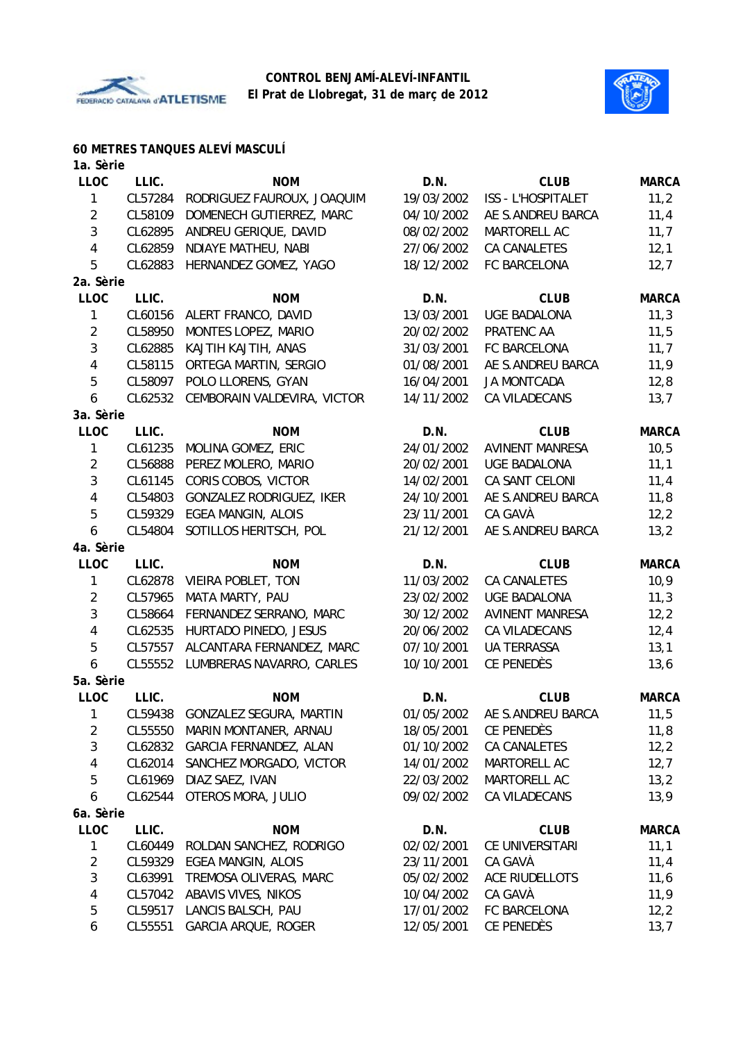



# **60 METRES TANQUES ALEVÍ MASCULÍ**

| 1a. Sèrie               |         |                                 |            |                        |              |
|-------------------------|---------|---------------------------------|------------|------------------------|--------------|
| <b>LLOC</b>             | LLIC.   | <b>NOM</b>                      | D.N.       | <b>CLUB</b>            | <b>MARCA</b> |
| 1                       | CL57284 | RODRIGUEZ FAUROUX, JOAQUIM      | 19/03/2002 | ISS - L'HOSPITALET     | 11,2         |
| $\overline{2}$          | CL58109 | DOMENECH GUTIERREZ, MARC        | 04/10/2002 | AE S.ANDREU BARCA      | 11,4         |
| $\mathbf{3}$            | CL62895 | ANDREU GERIQUE, DAVID           | 08/02/2002 | MARTORELL AC           | 11,7         |
| $\overline{\mathbf{4}}$ | CL62859 | NDIAYE MATHEU, NABI             | 27/06/2002 | CA CANALETES           | 12,1         |
| 5                       | CL62883 | HERNANDEZ GOMEZ, YAGO           | 18/12/2002 | FC BARCELONA           | 12,7         |
| 2a. Sèrie               |         |                                 |            |                        |              |
| <b>LLOC</b>             | LLIC.   | <b>NOM</b>                      | D.N.       | <b>CLUB</b>            | <b>MARCA</b> |
| $\mathbf{1}$            | CL60156 | ALERT FRANCO, DAVID             | 13/03/2001 | <b>UGE BADALONA</b>    | 11,3         |
| $\overline{2}$          | CL58950 | MONTES LOPEZ, MARIO             | 20/02/2002 | PRATENC AA             | 11,5         |
| 3                       | CL62885 | KAJTIH KAJTIH, ANAS             | 31/03/2001 | FC BARCELONA           | 11,7         |
| 4                       | CL58115 | ORTEGA MARTIN, SERGIO           | 01/08/2001 | AE S.ANDREU BARCA      | 11,9         |
| 5                       | CL58097 | POLO LLORENS, GYAN              | 16/04/2001 | <b>JA MONTCADA</b>     | 12,8         |
| 6                       | CL62532 | CEMBORAIN VALDEVIRA, VICTOR     | 14/11/2002 | CA VILADECANS          | 13,7         |
| 3a. Sèrie               |         |                                 |            |                        |              |
| LLOC                    | LLIC.   | <b>NOM</b>                      | D.N.       | <b>CLUB</b>            | <b>MARCA</b> |
| 1                       | CL61235 | MOLINA GOMEZ, ERIC              | 24/01/2002 | <b>AVINENT MANRESA</b> | 10, 5        |
| $\overline{2}$          | CL56888 | PEREZ MOLERO, MARIO             | 20/02/2001 | <b>UGE BADALONA</b>    | 11,1         |
| 3                       | CL61145 | CORIS COBOS, VICTOR             | 14/02/2001 | CA SANT CELONI         | 11,4         |
| 4                       | CL54803 | GONZALEZ RODRIGUEZ, IKER        | 24/10/2001 | AE S.ANDREU BARCA      | 11,8         |
| 5                       | CL59329 | <b>EGEA MANGIN, ALOIS</b>       | 23/11/2001 | CA GAVÀ                | 12,2         |
| 6                       | CL54804 | SOTILLOS HERITSCH, POL          | 21/12/2001 | AE S.ANDREU BARCA      | 13,2         |
| 4a. Sèrie               |         |                                 |            |                        |              |
| <b>LLOC</b>             | LLIC.   | <b>NOM</b>                      | D.N.       | <b>CLUB</b>            | <b>MARCA</b> |
| 1                       | CL62878 | VIEIRA POBLET, TON              | 11/03/2002 | CA CANALETES           | 10,9         |
| $\overline{2}$          | CL57965 | MATA MARTY, PAU                 | 23/02/2002 | <b>UGE BADALONA</b>    | 11,3         |
| 3                       | CL58664 | FERNANDEZ SERRANO, MARC         | 30/12/2002 | <b>AVINENT MANRESA</b> | 12,2         |
| 4                       | CL62535 | HURTADO PINEDO, JESUS           | 20/06/2002 | CA VILADECANS          | 12,4         |
| 5                       | CL57557 | ALCANTARA FERNANDEZ, MARC       | 07/10/2001 | <b>UA TERRASSA</b>     | 13,1         |
| 6                       | CL55552 | LUMBRERAS NAVARRO, CARLES       | 10/10/2001 | CE PENEDÈS             | 13,6         |
| 5a. Sèrie               |         |                                 |            |                        |              |
| <b>LLOC</b>             | LLIC.   | <b>NOM</b>                      | D.N.       | <b>CLUB</b>            | <b>MARCA</b> |
| 1                       |         | CL59438 GONZALEZ SEGURA, MARTIN | 01/05/2002 | AE S.ANDREU BARCA      | 11,5         |
| $\overline{2}$          | CL55550 | MARIN MONTANER, ARNAU           | 18/05/2001 | CE PENEDÈS             | 11,8         |
| $\sqrt{3}$              | CL62832 | GARCIA FERNANDEZ, ALAN          | 01/10/2002 | CA CANALETES           | 12,2         |
| 4                       | CL62014 | SANCHEZ MORGADO, VICTOR         | 14/01/2002 | MARTORELL AC           | 12,7         |
| 5                       | CL61969 | DIAZ SAEZ, IVAN                 | 22/03/2002 | MARTORELL AC           | 13,2         |
| 6                       | CL62544 | OTEROS MORA, JULIO              | 09/02/2002 | CA VILADECANS          | 13,9         |
| 6a. Sèrie               |         |                                 |            |                        |              |
| <b>LLOC</b>             | LLIC.   | <b>NOM</b>                      | D.N.       | <b>CLUB</b>            | <b>MARCA</b> |
| 1                       | CL60449 | ROLDAN SANCHEZ, RODRIGO         | 02/02/2001 | CE UNIVERSITARI        | 11,1         |
| $\overline{c}$          | CL59329 | EGEA MANGIN, ALOIS              | 23/11/2001 | CA GAVÀ                | 11,4         |
| $\sqrt{3}$              | CL63991 | TREMOSA OLIVERAS, MARC          | 05/02/2002 | ACE RIUDELLOTS         | 11,6         |
| 4                       | CL57042 | ABAVIS VIVES, NIKOS             | 10/04/2002 | CA GAVÀ                | 11,9         |
| 5                       | CL59517 | LANCIS BALSCH, PAU              | 17/01/2002 | FC BARCELONA           | 12,2         |
| 6                       | CL55551 | GARCIA ARQUE, ROGER             | 12/05/2001 | CE PENEDÈS             | 13,7         |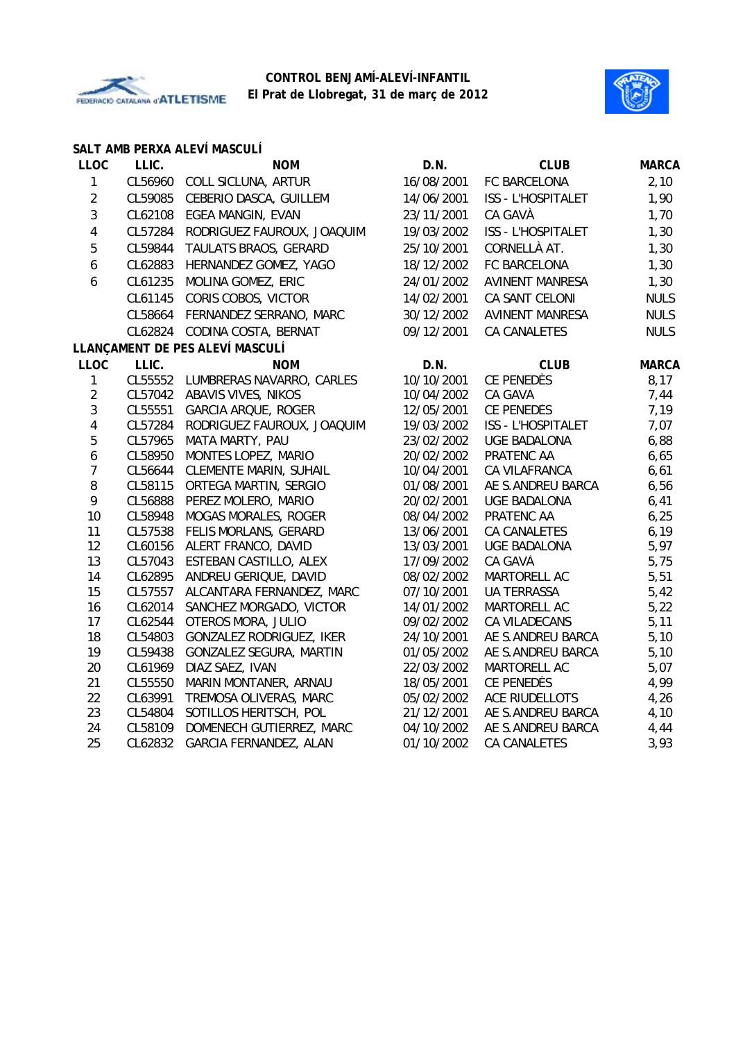



|                         |         | SALT AMB PERXA ALEVÍ MASCULÍ    |            |                           |              |
|-------------------------|---------|---------------------------------|------------|---------------------------|--------------|
| <b>LLOC</b>             | LLIC.   | <b>NOM</b>                      | D.N.       | <b>CLUB</b>               | <b>MARCA</b> |
| $\mathbf{1}$            | CL56960 | COLL SICLUNA, ARTUR             | 16/08/2001 | FC BARCELONA              | 2,10         |
| $\overline{2}$          | CL59085 | CEBERIO DASCA, GUILLEM          | 14/06/2001 | ISS - L'HOSPITALET        | 1,90         |
| $\mathfrak{Z}$          | CL62108 | EGEA MANGIN, EVAN               | 23/11/2001 | CA GAVÀ                   | 1,70         |
| $\overline{4}$          | CL57284 | RODRIGUEZ FAUROUX, JOAQUIM      | 19/03/2002 | <b>ISS - L'HOSPITALET</b> | 1,30         |
| 5                       | CL59844 | TAULATS BRAOS, GERARD           | 25/10/2001 | CORNELLÀ AT.              | 1,30         |
| 6                       | CL62883 | HERNANDEZ GOMEZ, YAGO           | 18/12/2002 | FC BARCELONA              | 1,30         |
| 6                       | CL61235 | MOLINA GOMEZ, ERIC              | 24/01/2002 | <b>AVINENT MANRESA</b>    | 1,30         |
|                         | CL61145 | CORIS COBOS, VICTOR             | 14/02/2001 | CA SANT CELONI            | <b>NULS</b>  |
|                         | CL58664 | FERNANDEZ SERRANO, MARC         | 30/12/2002 | <b>AVINENT MANRESA</b>    | <b>NULS</b>  |
|                         | CL62824 | CODINA COSTA, BERNAT            | 09/12/2001 | <b>CA CANALETES</b>       | <b>NULS</b>  |
|                         |         | LLANÇAMENT DE PES ALEVÍ MASCULÍ |            |                           |              |
| <b>LLOC</b>             | LLIC.   | <b>NOM</b>                      | D.N.       | <b>CLUB</b>               | <b>MARCA</b> |
| $\mathbf{1}$            | CL55552 | LUMBRERAS NAVARRO, CARLES       | 10/10/2001 | CE PENEDÈS                | 8,17         |
| $\overline{2}$          | CL57042 | ABAVIS VIVES, NIKOS             | 10/04/2002 | CA GAVÀ                   | 7,44         |
| 3                       | CL55551 | <b>GARCIA ARQUE, ROGER</b>      | 12/05/2001 | <b>CE PENEDÈS</b>         | 7,19         |
| $\overline{\mathbf{4}}$ | CL57284 | RODRIGUEZ FAUROUX, JOAQUIM      | 19/03/2002 | ISS - L'HOSPITALET        | 7,07         |
| 5                       | CL57965 | MATA MARTY, PAU                 | 23/02/2002 | <b>UGE BADALONA</b>       | 6,88         |
| 6                       | CL58950 | MONTES LOPEZ, MARIO             | 20/02/2002 | PRATENC AA                | 6,65         |
| $\overline{7}$          | CL56644 | <b>CLEMENTE MARIN, SUHAIL</b>   | 10/04/2001 | CA VILAFRANCA             | 6,61         |
| 8                       | CL58115 | ORTEGA MARTIN, SERGIO           | 01/08/2001 | AE S.ANDREU BARCA         | 6,56         |
| 9                       | CL56888 | PEREZ MOLERO, MARIO             | 20/02/2001 | <b>UGE BADALONA</b>       | 6,41         |
| 10                      | CL58948 | <b>MOGAS MORALES, ROGER</b>     | 08/04/2002 | PRATENC AA                | 6, 25        |
| 11                      | CL57538 | FELIS MORLANS, GERARD           | 13/06/2001 | <b>CA CANALETES</b>       | 6, 19        |
| 12                      | CL60156 | ALERT FRANCO, DAVID             | 13/03/2001 | <b>UGE BADALONA</b>       | 5,97         |
| 13                      | CL57043 | ESTEBAN CASTILLO, ALEX          | 17/09/2002 | CA GAVÀ                   | 5,75         |
| 14                      | CL62895 | ANDREU GERIQUE, DAVID           | 08/02/2002 | MARTORELL AC              | 5,51         |
| 15                      | CL57557 | ALCANTARA FERNANDEZ, MARC       | 07/10/2001 | <b>UA TERRASSA</b>        | 5,42         |
| 16                      | CL62014 | SANCHEZ MORGADO, VICTOR         | 14/01/2002 | MARTORELL AC              | 5,22         |
| 17                      | CL62544 | OTEROS MORA, JULIO              | 09/02/2002 | CA VILADECANS             | 5,11         |
| 18                      | CL54803 | GONZALEZ RODRIGUEZ, IKER        | 24/10/2001 | AE S.ANDREU BARCA         | 5,10         |
| 19                      | CL59438 | <b>GONZALEZ SEGURA, MARTIN</b>  | 01/05/2002 | AE S.ANDREU BARCA         | 5,10         |
| 20                      | CL61969 | DIAZ SAEZ, IVAN                 | 22/03/2002 | MARTORELL AC              | 5,07         |
| 21                      | CL55550 | MARIN MONTANER, ARNAU           | 18/05/2001 | <b>CE PENEDÈS</b>         | 4,99         |
| 22                      | CL63991 | TREMOSA OLIVERAS, MARC          | 05/02/2002 | <b>ACE RIUDELLOTS</b>     | 4,26         |
| 23                      | CL54804 | SOTILLOS HERITSCH, POL          | 21/12/2001 | AE S.ANDREU BARCA         | 4,10         |
| 24                      | CL58109 | DOMENECH GUTIERREZ, MARC        | 04/10/2002 | AE S.ANDREU BARCA         | 4,44         |
| 25                      | CL62832 | GARCIA FERNANDEZ, ALAN          | 01/10/2002 | <b>CA CANALETES</b>       | 3,93         |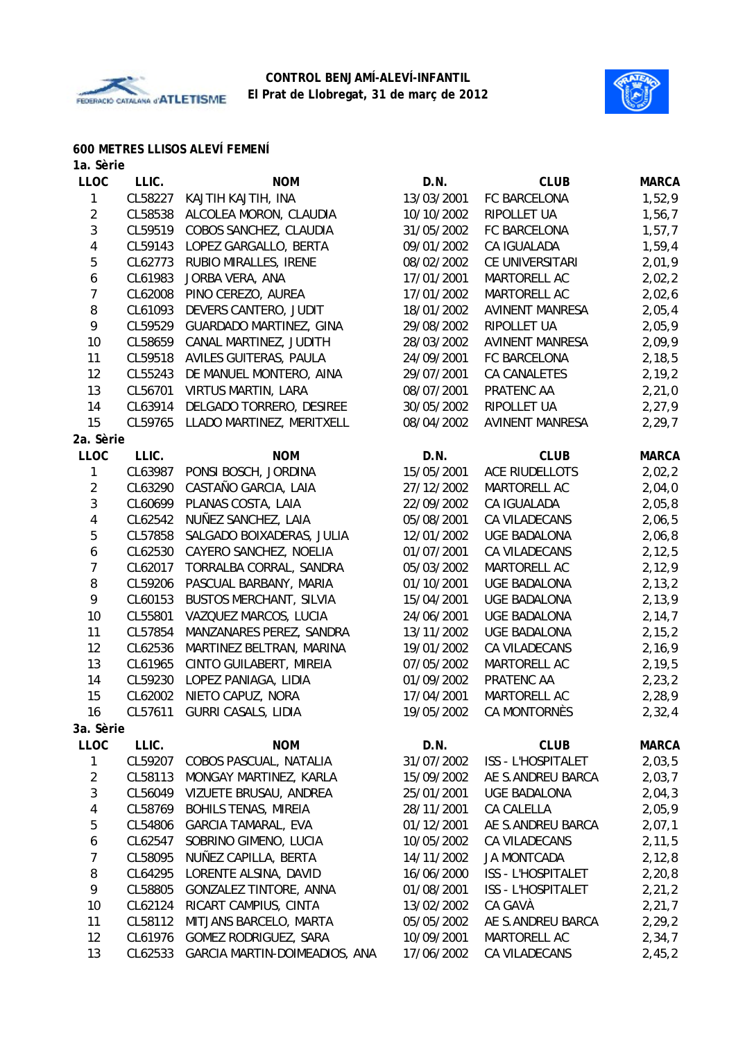



#### **600 METRES LLISOS ALEVÍ FEMENÍ**

| 1a. Sèrie               |         |                                |            |                        |              |
|-------------------------|---------|--------------------------------|------------|------------------------|--------------|
| <b>LLOC</b>             | LLIC.   | <b>NOM</b>                     | D.N.       | <b>CLUB</b>            | <b>MARCA</b> |
| 1                       | CL58227 | KAJTIH KAJTIH, INA             | 13/03/2001 | FC BARCELONA           | 1,52,9       |
| $\overline{2}$          | CL58538 | ALCOLEA MORON, CLAUDIA         | 10/10/2002 | RIPOLLET UA            | 1,56,7       |
| 3                       | CL59519 | COBOS SANCHEZ, CLAUDIA         | 31/05/2002 | FC BARCELONA           | 1,57,7       |
| 4                       | CL59143 | LOPEZ GARGALLO, BERTA          | 09/01/2002 | CA IGUALADA            | 1,59,4       |
| $\mathbf 5$             | CL62773 | RUBIO MIRALLES, IRENE          | 08/02/2002 | CE UNIVERSITARI        | 2,01,9       |
| 6                       | CL61983 | JORBA VERA, ANA                | 17/01/2001 | MARTORELL AC           | 2,02,2       |
| $\overline{7}$          | CL62008 | PINO CEREZO, AUREA             | 17/01/2002 | MARTORELL AC           | 2,02,6       |
| 8                       | CL61093 | DEVERS CANTERO, JUDIT          | 18/01/2002 | <b>AVINENT MANRESA</b> | 2,05,4       |
| 9                       | CL59529 | GUARDADO MARTINEZ, GINA        | 29/08/2002 | RIPOLLET UA            | 2,05,9       |
| 10                      | CL58659 | CANAL MARTINEZ, JUDITH         | 28/03/2002 | AVINENT MANRESA        | 2,09,9       |
| 11                      | CL59518 | AVILES GUITERAS, PAULA         | 24/09/2001 | FC BARCELONA           | 2,18,5       |
| 12                      | CL55243 | DE MANUEL MONTERO, AINA        | 29/07/2001 | <b>CA CANALETES</b>    | 2,19,2       |
| 13                      | CL56701 | <b>VIRTUS MARTIN, LARA</b>     | 08/07/2001 | PRATENC AA             | 2,21,0       |
| 14                      | CL63914 | DELGADO TORRERO, DESIREE       | 30/05/2002 | RIPOLLET UA            | 2,27,9       |
| 15                      | CL59765 | LLADO MARTINEZ, MERITXELL      | 08/04/2002 | <b>AVINENT MANRESA</b> | 2,29,7       |
| 2a. Sèrie               |         |                                |            |                        |              |
| <b>LLOC</b>             | LLIC.   | <b>NOM</b>                     | D.N.       | <b>CLUB</b>            | <b>MARCA</b> |
| 1                       | CL63987 | PONSI BOSCH, JORDINA           | 15/05/2001 | <b>ACE RIUDELLOTS</b>  | 2,02,2       |
| $\sqrt{2}$              | CL63290 | CASTAÑO GARCIA, LAIA           | 27/12/2002 | MARTORELL AC           | 2,04,0       |
| 3                       | CL60699 | PLANAS COSTA, LAIA             | 22/09/2002 | CA IGUALADA            | 2,05,8       |
| 4                       | CL62542 | NUÑEZ SANCHEZ, LAIA            | 05/08/2001 | CA VILADECANS          | 2,06,5       |
| 5                       | CL57858 | SALGADO BOIXADERAS, JULIA      | 12/01/2002 | <b>UGE BADALONA</b>    | 2,06,8       |
| 6                       | CL62530 | CAYERO SANCHEZ, NOELIA         | 01/07/2001 | CA VILADECANS          | 2, 12, 5     |
| $\boldsymbol{7}$        | CL62017 | TORRALBA CORRAL, SANDRA        | 05/03/2002 | MARTORELL AC           | 2,12,9       |
| 8                       | CL59206 | PASCUAL BARBANY, MARIA         | 01/10/2001 | <b>UGE BADALONA</b>    | 2, 13, 2     |
| 9                       | CL60153 | <b>BUSTOS MERCHANT, SILVIA</b> | 15/04/2001 | <b>UGE BADALONA</b>    | 2,13,9       |
| 10                      | CL55801 | VAZQUEZ MARCOS, LUCIA          | 24/06/2001 | <b>UGE BADALONA</b>    | 2, 14, 7     |
| 11                      | CL57854 | MANZANARES PEREZ, SANDRA       | 13/11/2002 | <b>UGE BADALONA</b>    | 2, 15, 2     |
| 12                      | CL62536 | MARTINEZ BELTRAN, MARINA       | 19/01/2002 | CA VILADECANS          | 2,16,9       |
| 13                      | CL61965 | CINTO GUILABERT, MIREIA        | 07/05/2002 | MARTORELL AC           | 2,19,5       |
| 14                      | CL59230 | LOPEZ PANIAGA, LIDIA           | 01/09/2002 | PRATENC AA             | 2,23,2       |
| 15                      | CL62002 | NIETO CAPUZ, NORA              | 17/04/2001 | MARTORELL AC           | 2,28,9       |
| 16                      | CL57611 | <b>GURRI CASALS, LIDIA</b>     | 19/05/2002 | CA MONTORNÈS           | 2,32,4       |
| 3a. Sèrie               |         |                                |            |                        |              |
| LLOC                    | LLIC.   | <b>NOM</b>                     | D.N.       | <b>CLUB</b>            | <b>MARCA</b> |
| $\mathbf{1}$            | CL59207 | COBOS PASCUAL, NATALIA         | 31/07/2002 | ISS - L'HOSPITALET     | 2,03,5       |
| $\overline{a}$          | CL58113 | MONGAY MARTINEZ, KARLA         | 15/09/2002 | AE S.ANDREU BARCA      | 2,03,7       |
| 3                       | CL56049 | VIZUETE BRUSAU, ANDREA         | 25/01/2001 | UGE BADALONA           | 2,04,3       |
| $\overline{\mathbf{4}}$ | CL58769 | BOHILS TENAS, MIREIA           | 28/11/2001 | CA CALELLA             | 2,05,9       |
| 5                       | CL54806 | <b>GARCIA TAMARAL, EVA</b>     | 01/12/2001 | AE S.ANDREU BARCA      | 2,07,1       |
| 6                       | CL62547 | SOBRINO GIMENO, LUCIA          | 10/05/2002 | CA VILADECANS          | 2,11,5       |
| $\overline{7}$          | CL58095 | NUÑEZ CAPILLA, BERTA           | 14/11/2002 | <b>JA MONTCADA</b>     | 2, 12, 8     |
| 8                       | CL64295 | LORENTE ALSINA, DAVID          | 16/06/2000 | ISS - L'HOSPITALET     | 2,20,8       |
| 9                       | CL58805 | GONZALEZ TINTORE, ANNA         | 01/08/2001 | ISS - L'HOSPITALET     | 2,21,2       |
| 10                      | CL62124 | RICART CAMPIUS, CINTA          | 13/02/2002 | CA GAVÀ                | 2,21,7       |
| 11                      | CL58112 | MITJANS BARCELO, MARTA         | 05/05/2002 | AE S.ANDREU BARCA      | 2,29,2       |
| 12                      | CL61976 | GOMEZ RODRIGUEZ, SARA          | 10/09/2001 | MARTORELL AC           | 2,34,7       |

13 CL62533 GARCIA MARTIN-DOIMEADIOS, ANA 17/06/2002 CA VILADECANS 2,45,2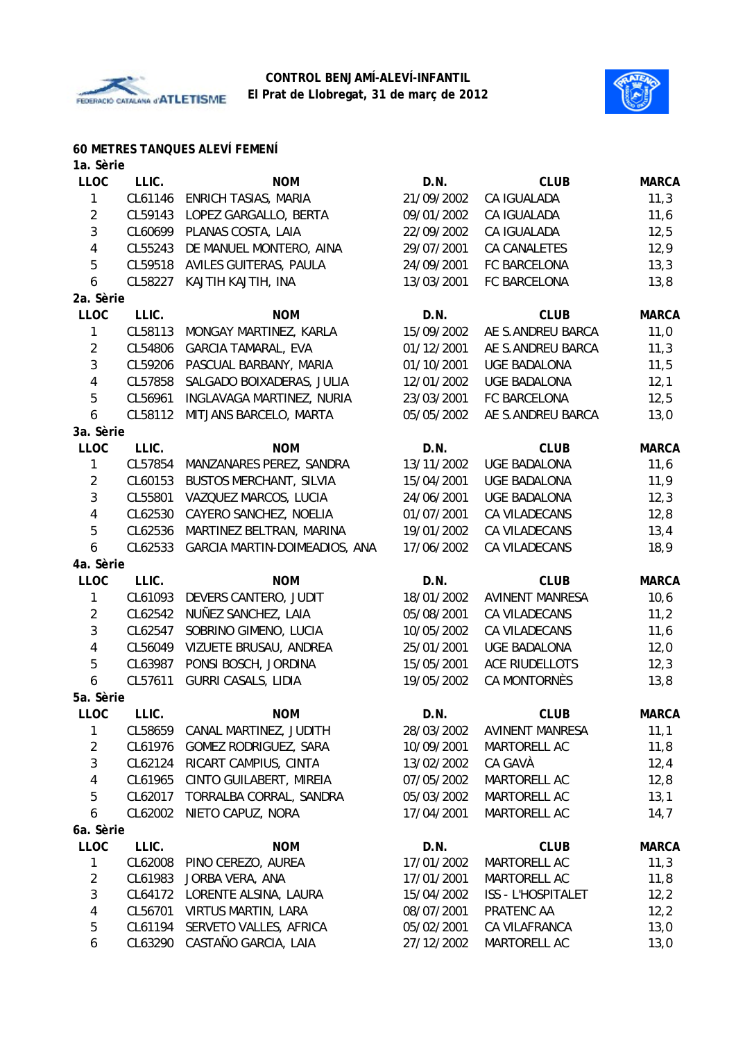



# **60 METRES TANQUES ALEVÍ FEMENÍ**

| 1a. Sèrie      |                    |                                |            |                                       |              |
|----------------|--------------------|--------------------------------|------------|---------------------------------------|--------------|
| <b>LLOC</b>    | LLIC.              | <b>NOM</b>                     | D.N.       | <b>CLUB</b>                           | <b>MARCA</b> |
| 1              | CL61146            | ENRICH TASIAS, MARIA           | 21/09/2002 | CA IGUALADA                           | 11,3         |
| $\overline{2}$ | CL59143            | LOPEZ GARGALLO, BERTA          | 09/01/2002 | CA IGUALADA                           | 11,6         |
| 3              | CL60699            | PLANAS COSTA, LAIA             | 22/09/2002 | CA IGUALADA                           | 12,5         |
| 4              | CL55243            | DE MANUEL MONTERO, AINA        | 29/07/2001 | CA CANALETES                          | 12,9         |
| 5              | CL59518            | AVILES GUITERAS, PAULA         | 24/09/2001 | FC BARCELONA                          | 13,3         |
| 6              | CL58227            | KAJTIH KAJTIH, INA             | 13/03/2001 | FC BARCELONA                          | 13,8         |
| 2a. Sèrie      |                    |                                |            |                                       |              |
| <b>LLOC</b>    | LLIC.              | <b>NOM</b>                     | D.N.       | <b>CLUB</b>                           | <b>MARCA</b> |
| 1              | CL58113            | MONGAY MARTINEZ, KARLA         | 15/09/2002 | AE S.ANDREU BARCA                     | 11,0         |
| $\overline{2}$ | CL54806            | <b>GARCIA TAMARAL, EVA</b>     | 01/12/2001 | AE S.ANDREU BARCA                     | 11,3         |
| $\sqrt{3}$     | CL59206            | PASCUAL BARBANY, MARIA         | 01/10/2001 | <b>UGE BADALONA</b>                   | 11,5         |
| 4              | CL57858            | SALGADO BOIXADERAS, JULIA      | 12/01/2002 | <b>UGE BADALONA</b>                   | 12,1         |
| 5              | CL56961            | INGLAVAGA MARTINEZ, NURIA      | 23/03/2001 | FC BARCELONA                          | 12,5         |
| 6              | CL58112            | MITJANS BARCELO, MARTA         | 05/05/2002 | AE S.ANDREU BARCA                     | 13,0         |
| 3a. Sèrie      |                    |                                |            |                                       |              |
| <b>LLOC</b>    | LLIC.              | <b>NOM</b>                     | D.N.       | <b>CLUB</b>                           | <b>MARCA</b> |
| 1              | CL57854            | MANZANARES PEREZ, SANDRA       | 13/11/2002 | <b>UGE BADALONA</b>                   | 11,6         |
| $\overline{2}$ | CL60153            | <b>BUSTOS MERCHANT, SILVIA</b> | 15/04/2001 | <b>UGE BADALONA</b>                   | 11,9         |
| $\sqrt{3}$     | CL55801            | VAZQUEZ MARCOS, LUCIA          | 24/06/2001 | <b>UGE BADALONA</b>                   | 12,3         |
| 4              | CL62530            | CAYERO SANCHEZ, NOELIA         | 01/07/2001 | CA VILADECANS                         | 12,8         |
| 5              | CL62536            | MARTINEZ BELTRAN, MARINA       | 19/01/2002 | CA VILADECANS                         | 13,4         |
| 6              | CL62533            | GARCIA MARTIN-DOIMEADIOS, ANA  | 17/06/2002 | CA VILADECANS                         | 18,9         |
| 4a. Sèrie      |                    |                                |            |                                       |              |
| <b>LLOC</b>    | LLIC.              | <b>NOM</b>                     | D.N.       | <b>CLUB</b>                           | <b>MARCA</b> |
| 1              | CL61093            | DEVERS CANTERO, JUDIT          | 18/01/2002 | <b>AVINENT MANRESA</b>                | 10,6         |
| $\sqrt{2}$     | CL62542            | NUÑEZ SANCHEZ, LAIA            | 05/08/2001 | CA VILADECANS                         | 11,2         |
| $\sqrt{3}$     | CL62547            | SOBRINO GIMENO, LUCIA          | 10/05/2002 | CA VILADECANS                         | 11,6         |
| $\overline{4}$ | CL56049            | VIZUETE BRUSAU, ANDREA         | 25/01/2001 | <b>UGE BADALONA</b>                   | 12,0         |
| 5              | CL63987            | PONSI BOSCH, JORDINA           | 15/05/2001 | ACE RIUDELLOTS                        | 12,3         |
| 6              | CL57611            | <b>GURRI CASALS, LIDIA</b>     | 19/05/2002 | CA MONTORNÈS                          | 13,8         |
| 5a. Sèrie      |                    |                                |            |                                       |              |
| LLOC           | LLIC.              | <b>NOM</b>                     |            |                                       | <b>MARCA</b> |
|                |                    |                                | D.N.       | <b>CLUB</b><br><b>AVINENT MANRESA</b> |              |
| 1              | CL58659<br>CL61976 | CANAL MARTINEZ, JUDITH         | 28/03/2002 |                                       | 11,1         |
| $\overline{2}$ |                    | GOMEZ RODRIGUEZ, SARA          | 10/09/2001 | MARTORELL AC                          | 11,8         |
| 3              | CL62124            | RICART CAMPIUS, CINTA          | 13/02/2002 | CA GAVÀ                               | 12,4         |
| 4              | CL61965            | CINTO GUILABERT, MIREIA        | 07/05/2002 | MARTORELL AC                          | 12,8         |
| 5              | CL62017            | TORRALBA CORRAL, SANDRA        | 05/03/2002 | MARTORELL AC                          | 13,1         |
| 6              | CL62002            | NIETO CAPUZ, NORA              | 17/04/2001 | MARTORELL AC                          | 14,7         |
| 6a. Sèrie      |                    |                                |            |                                       |              |
| <b>LLOC</b>    | LLIC.              | <b>NOM</b>                     | D.N.       | <b>CLUB</b>                           | <b>MARCA</b> |
| 1              | CL62008            | PINO CEREZO, AUREA             | 17/01/2002 | MARTORELL AC                          | 11,3         |
| $\overline{2}$ | CL61983            | JORBA VERA, ANA                | 17/01/2001 | MARTORELL AC                          | 11,8         |
| $\sqrt{3}$     | CL64172            | LORENTE ALSINA, LAURA          | 15/04/2002 | ISS - L'HOSPITALET                    | 12,2         |
| 4              | CL56701            | <b>VIRTUS MARTIN, LARA</b>     | 08/07/2001 | PRATENC AA                            | 12,2         |
| 5              | CL61194            | SERVETO VALLES, AFRICA         | 05/02/2001 | CA VILAFRANCA                         | 13,0         |
| 6              | CL63290            | CASTAÑO GARCIA, LAIA           | 27/12/2002 | MARTORELL AC                          | 13,0         |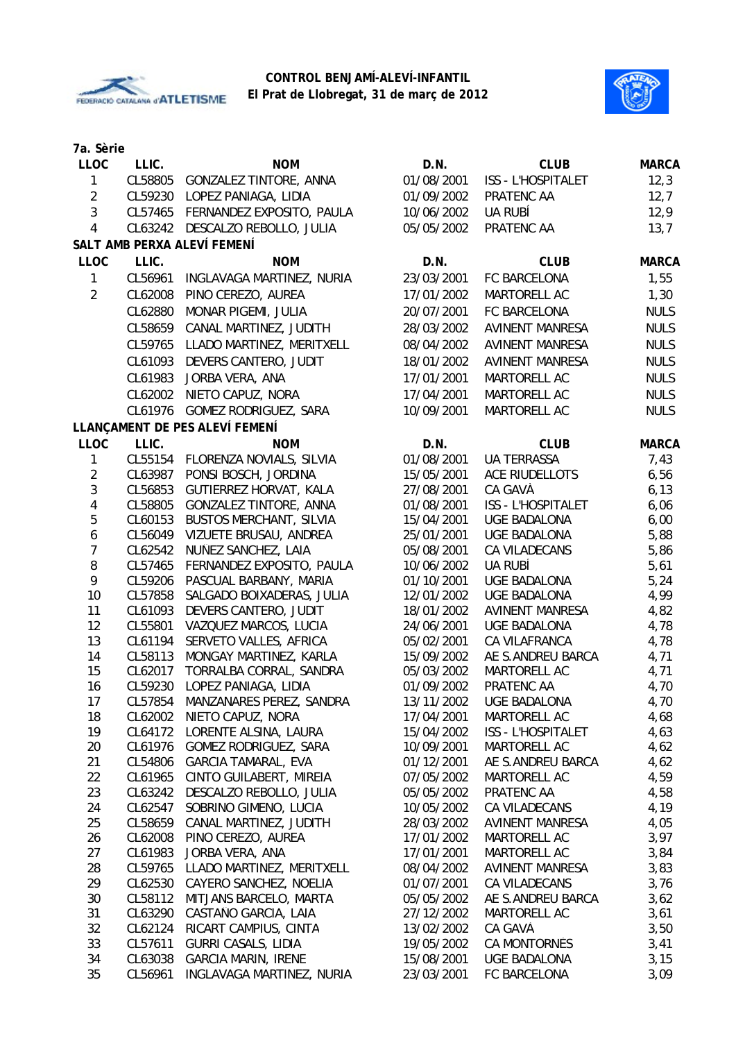



| 7a. Sèrie               |         |                                |            |                           |              |
|-------------------------|---------|--------------------------------|------------|---------------------------|--------------|
| <b>LLOC</b>             | LLIC.   | <b>NOM</b>                     | D.N.       | <b>CLUB</b>               | <b>MARCA</b> |
| 1                       | CL58805 | <b>GONZALEZ TINTORE, ANNA</b>  | 01/08/2001 | <b>ISS - L'HOSPITALET</b> | 12,3         |
| $\overline{2}$          | CL59230 | LOPEZ PANIAGA, LIDIA           | 01/09/2002 | PRATENC AA                | 12,7         |
| $\mathfrak{Z}$          | CL57465 | FERNANDEZ EXPOSITO, PAULA      | 10/06/2002 | UA RUBÍ                   | 12,9         |
| $\overline{4}$          | CL63242 | DESCALZO REBOLLO, JULIA        | 05/05/2002 | PRATENC AA                | 13,7         |
|                         |         | SALT AMB PERXA ALEVÍ FEMENÍ    |            |                           |              |
| <b>LLOC</b>             | LLIC.   | <b>NOM</b>                     | D.N.       | <b>CLUB</b>               | <b>MARCA</b> |
| 1                       | CL56961 | INGLAVAGA MARTINEZ, NURIA      | 23/03/2001 | FC BARCELONA              | 1,55         |
| $\overline{2}$          | CL62008 | PINO CEREZO, AUREA             | 17/01/2002 | MARTORELL AC              | 1,30         |
|                         | CL62880 | MONAR PIGEMI, JULIA            | 20/07/2001 | FC BARCELONA              | <b>NULS</b>  |
|                         |         |                                |            |                           |              |
|                         | CL58659 | CANAL MARTINEZ, JUDITH         | 28/03/2002 | <b>AVINENT MANRESA</b>    | <b>NULS</b>  |
|                         | CL59765 | LLADO MARTINEZ, MERITXELL      | 08/04/2002 | <b>AVINENT MANRESA</b>    | <b>NULS</b>  |
|                         | CL61093 | DEVERS CANTERO, JUDIT          | 18/01/2002 | <b>AVINENT MANRESA</b>    | <b>NULS</b>  |
|                         | CL61983 | JORBA VERA, ANA                | 17/01/2001 | MARTORELL AC              | <b>NULS</b>  |
|                         | CL62002 | NIETO CAPUZ, NORA              | 17/04/2001 | MARTORELL AC              | <b>NULS</b>  |
|                         | CL61976 | GOMEZ RODRIGUEZ, SARA          | 10/09/2001 | MARTORELL AC              | <b>NULS</b>  |
|                         |         | LLANÇAMENT DE PES ALEVÍ FEMENÍ |            |                           |              |
| <b>LLOC</b>             | LLIC.   | <b>NOM</b>                     | D.N.       | <b>CLUB</b>               | <b>MARCA</b> |
| $\mathbf{1}$            | CL55154 | FLORENZA NOVIALS, SILVIA       | 01/08/2001 | <b>UA TERRASSA</b>        | 7,43         |
| $\overline{2}$          | CL63987 | PONSI BOSCH, JORDINA           | 15/05/2001 | <b>ACE RIUDELLOTS</b>     | 6,56         |
| 3                       | CL56853 | GUTIERREZ HORVAT, KALA         | 27/08/2001 | CA GAVÀ                   | 6, 13        |
| $\overline{\mathbf{4}}$ | CL58805 | <b>GONZALEZ TINTORE, ANNA</b>  | 01/08/2001 | ISS - L'HOSPITALET        | 6,06         |
| 5                       | CL60153 | <b>BUSTOS MERCHANT, SILVIA</b> | 15/04/2001 | <b>UGE BADALONA</b>       | 6,00         |
| $\boldsymbol{6}$        | CL56049 | VIZUETE BRUSAU, ANDREA         | 25/01/2001 | <b>UGE BADALONA</b>       | 5,88         |
| $\overline{7}$          | CL62542 | NUÑEZ SANCHEZ, LAIA            | 05/08/2001 | CA VILADECANS             | 5,86         |
| $\, 8$                  | CL57465 | FERNANDEZ EXPOSITO, PAULA      | 10/06/2002 | UA RUBÍ                   | 5,61         |
| 9                       | CL59206 | PASCUAL BARBANY, MARIA         | 01/10/2001 | <b>UGE BADALONA</b>       | 5,24         |
| 10                      | CL57858 | SALGADO BOIXADERAS, JULIA      | 12/01/2002 | <b>UGE BADALONA</b>       | 4,99         |
| 11                      | CL61093 | DEVERS CANTERO, JUDIT          | 18/01/2002 | <b>AVINENT MANRESA</b>    | 4,82         |
| 12                      | CL55801 | VAZQUEZ MARCOS, LUCIA          | 24/06/2001 | <b>UGE BADALONA</b>       | 4,78         |
| 13                      | CL61194 | SERVETO VALLES, AFRICA         | 05/02/2001 | CA VILAFRANCA             | 4,78         |
| 14                      | CL58113 | MONGAY MARTINEZ, KARLA         | 15/09/2002 | AE S.ANDREU BARCA         | 4,71         |
| 15                      | CL62017 | TORRALBA CORRAL, SANDRA        | 05/03/2002 | MARTORELL AC              | 4,71         |
| 16                      | CL59230 | LOPEZ PANIAGA, LIDIA           | 01/09/2002 | PRATENC AA                | 4,70         |
| 17                      | CL57854 | MANZANARES PEREZ, SANDRA       | 13/11/2002 | <b>UGE BADALONA</b>       | 4,70         |
| 18                      | CL62002 | NIETO CAPUZ, NORA              | 17/04/2001 | MARTORELL AC              | 4,68         |
| 19                      | CL64172 | LORENTE ALSINA, LAURA          | 15/04/2002 | ISS - L'HOSPITALET        | 4,63         |
| 20                      | CL61976 | GOMEZ RODRIGUEZ, SARA          | 10/09/2001 | MARTORELL AC              | 4,62         |
| 21                      | CL54806 | <b>GARCIA TAMARAL, EVA</b>     | 01/12/2001 | AE S.ANDREU BARCA         | 4,62         |
| 22                      | CL61965 | CINTO GUILABERT, MIREIA        | 07/05/2002 | MARTORELL AC              | 4,59         |
| 23                      | CL63242 | DESCALZO REBOLLO, JULIA        | 05/05/2002 | PRATENC AA                | 4,58         |
| 24                      | CL62547 | SOBRINO GIMENO, LUCIA          | 10/05/2002 | CA VILADECANS             | 4,19         |
| 25                      | CL58659 | CANAL MARTINEZ, JUDITH         | 28/03/2002 | <b>AVINENT MANRESA</b>    | 4,05         |
| 26                      | CL62008 | PINO CEREZO, AUREA             | 17/01/2002 | MARTORELL AC              | 3,97         |
| 27                      | CL61983 | JORBA VERA, ANA                | 17/01/2001 | MARTORELL AC              | 3,84         |
| 28                      | CL59765 | LLADO MARTINEZ, MERITXELL      | 08/04/2002 | <b>AVINENT MANRESA</b>    | 3,83         |
| 29                      | CL62530 | CAYERO SANCHEZ, NOELIA         | 01/07/2001 | CA VILADECANS             | 3,76         |
| 30                      | CL58112 | MITJANS BARCELO, MARTA         | 05/05/2002 | AE S.ANDREU BARCA         | 3,62         |
| 31                      | CL63290 | CASTAÑO GARCIA, LAIA           | 27/12/2002 | MARTORELL AC              | 3,61         |
| 32                      | CL62124 | RICART CAMPIUS, CINTA          | 13/02/2002 | CA GAVÀ                   | 3,50         |
| 33                      | CL57611 | <b>GURRI CASALS, LIDIA</b>     | 19/05/2002 | CA MONTORNÈS              | 3,41         |
| 34                      | CL63038 | <b>GARCIA MARIN, IRENE</b>     | 15/08/2001 | <b>UGE BADALONA</b>       | 3,15         |
| 35                      | CL56961 | INGLAVAGA MARTINEZ, NURIA      | 23/03/2001 | FC BARCELONA              | 3,09         |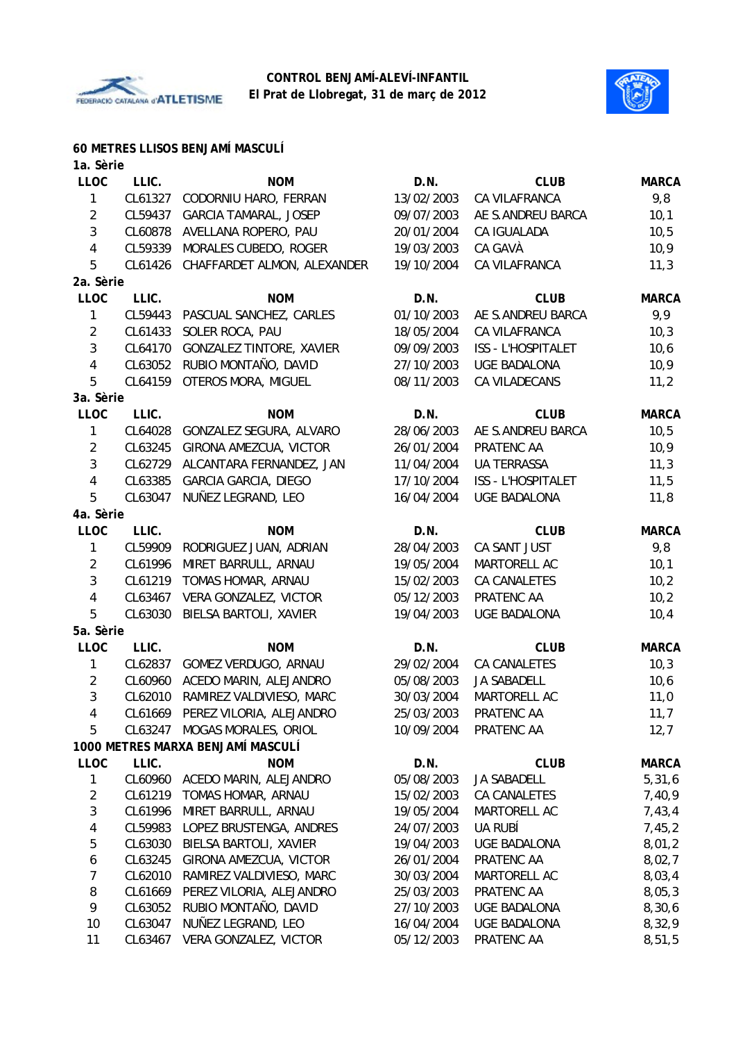



# **60 METRES LLISOS BENJAMÍ MASCULÍ**

| 1a. Sèrie               |         |                                   |            |                           |              |
|-------------------------|---------|-----------------------------------|------------|---------------------------|--------------|
| <b>LLOC</b>             | LLIC.   | <b>NOM</b>                        | D.N.       | <b>CLUB</b>               | <b>MARCA</b> |
| 1                       | CL61327 | CODORNIU HARO, FERRAN             | 13/02/2003 | CA VILAFRANCA             | 9,8          |
| $\overline{2}$          | CL59437 | <b>GARCIA TAMARAL, JOSEP</b>      | 09/07/2003 | AE S.ANDREU BARCA         | 10,1         |
| 3                       | CL60878 | AVELLANA ROPERO, PAU              | 20/01/2004 | CA IGUALADA               | 10, 5        |
| $\overline{4}$          | CL59339 | MORALES CUBEDO, ROGER             | 19/03/2003 | CA GAVÀ                   | 10, 9        |
| 5                       | CL61426 | CHAFFARDET ALMON, ALEXANDER       | 19/10/2004 | CA VILAFRANCA             | 11,3         |
| 2a. Sèrie               |         |                                   |            |                           |              |
| <b>LLOC</b>             | LLIC.   | <b>NOM</b>                        | D.N.       | <b>CLUB</b>               | <b>MARCA</b> |
| 1                       | CL59443 | PASCUAL SANCHEZ, CARLES           | 01/10/2003 | AE S.ANDREU BARCA         | 9,9          |
| $\overline{2}$          | CL61433 | SOLER ROCA, PAU                   | 18/05/2004 | CA VILAFRANCA             | 10,3         |
| $\mathbf{3}$            | CL64170 | <b>GONZALEZ TINTORE, XAVIER</b>   | 09/09/2003 | <b>ISS - L'HOSPITALET</b> | 10, 6        |
| 4                       | CL63052 | RUBIO MONTAÑO, DAVID              | 27/10/2003 | <b>UGE BADALONA</b>       | 10,9         |
| 5                       | CL64159 | <b>OTEROS MORA, MIGUEL</b>        | 08/11/2003 | CA VILADECANS             | 11,2         |
| 3a. Sèrie               |         |                                   |            |                           |              |
| <b>LLOC</b>             | LLIC.   | <b>NOM</b>                        | D.N.       | <b>CLUB</b>               | <b>MARCA</b> |
| 1                       | CL64028 | GONZALEZ SEGURA, ALVARO           | 28/06/2003 | AE S.ANDREU BARCA         | 10, 5        |
| $\overline{2}$          | CL63245 | GIRONA AMEZCUA, VICTOR            | 26/01/2004 | PRATENC AA                | 10,9         |
| $\mathfrak{Z}$          | CL62729 | ALCANTARA FERNANDEZ, JAN          | 11/04/2004 | <b>UA TERRASSA</b>        | 11,3         |
| 4                       | CL63385 | <b>GARCIA GARCIA, DIEGO</b>       | 17/10/2004 | <b>ISS - L'HOSPITALET</b> | 11,5         |
| 5                       | CL63047 | NUÑEZ LEGRAND, LEO                | 16/04/2004 | <b>UGE BADALONA</b>       | 11,8         |
| 4a. Sèrie               |         |                                   |            |                           |              |
| <b>LLOC</b>             | LLIC.   | <b>NOM</b>                        | D.N.       | <b>CLUB</b>               | <b>MARCA</b> |
| 1                       | CL59909 | RODRIGUEZ JUAN, ADRIAN            | 28/04/2003 | CA SANT JUST              | 9,8          |
| $\overline{2}$          | CL61996 | MIRET BARRULL, ARNAU              | 19/05/2004 | MARTORELL AC              | 10,1         |
| $\overline{3}$          | CL61219 | TOMAS HOMAR, ARNAU                | 15/02/2003 | <b>CA CANALETES</b>       | 10,2         |
| $\overline{4}$          | CL63467 | VERA GONZALEZ, VICTOR             | 05/12/2003 | PRATENC AA                | 10,2         |
| 5                       | CL63030 | BIELSA BARTOLI, XAVIER            | 19/04/2003 | <b>UGE BADALONA</b>       | 10,4         |
| 5a. Sèrie               |         |                                   |            |                           |              |
| <b>LLOC</b>             | LLIC.   | <b>NOM</b>                        | D.N.       | <b>CLUB</b>               | <b>MARCA</b> |
| 1                       | CL62837 | GOMEZ VERDUGO, ARNAU              | 29/02/2004 | <b>CA CANALETES</b>       | 10,3         |
| $\overline{2}$          | CL60960 | ACEDO MARIN, ALEJANDRO            | 05/08/2003 | <b>JA SABADELL</b>        | 10, 6        |
| $\mathbf{3}$            | CL62010 | RAMIREZ VALDIVIESO, MARC          | 30/03/2004 | MARTORELL AC              | 11,0         |
| 4                       |         | CL61669 PEREZ VILORIA, ALEJANDRO  | 25/03/2003 | PRATENC AA                | 11,7         |
| 5                       |         | CL63247 MOGAS MORALES, ORIOL      | 10/09/2004 | PRATENC AA                | 12,7         |
|                         |         | 1000 METRES MARXA BENJAMÍ MASCULÍ |            |                           |              |
| <b>LLOC</b>             | LLIC.   | <b>NOM</b>                        | D.N.       | <b>CLUB</b>               | <b>MARCA</b> |
| 1                       | CL60960 | ACEDO MARIN, ALEJANDRO            | 05/08/2003 | <b>JA SABADELL</b>        | 5,31,6       |
| $\overline{2}$          | CL61219 | TOMAS HOMAR, ARNAU                | 15/02/2003 | CA CANALETES              | 7,40,9       |
| $\sqrt{3}$              | CL61996 | MIRET BARRULL, ARNAU              | 19/05/2004 | MARTORELL AC              | 7,43,4       |
| $\overline{\mathbf{4}}$ | CL59983 | LOPEZ BRUSTENGA, ANDRES           | 24/07/2003 | UA RUBÍ                   | 7,45,2       |
| 5                       | CL63030 | BIELSA BARTOLI, XAVIER            | 19/04/2003 | <b>UGE BADALONA</b>       | 8,01,2       |
| 6                       | CL63245 | GIRONA AMEZCUA, VICTOR            | 26/01/2004 | PRATENC AA                | 8,02,7       |
| $\overline{7}$          | CL62010 | RAMIREZ VALDIVIESO, MARC          | 30/03/2004 | MARTORELL AC              | 8,03,4       |
| 8                       | CL61669 | PEREZ VILORIA, ALEJANDRO          | 25/03/2003 | PRATENC AA                | 8,05,3       |
| 9                       | CL63052 | RUBIO MONTAÑO, DAVID              | 27/10/2003 | <b>UGE BADALONA</b>       | 8,30,6       |
| 10                      | CL63047 | NUÑEZ LEGRAND, LEO                | 16/04/2004 | <b>UGE BADALONA</b>       | 8,32,9       |
| 11                      | CL63467 | VERA GONZALEZ, VICTOR             | 05/12/2003 | PRATENC AA                | 8,51,5       |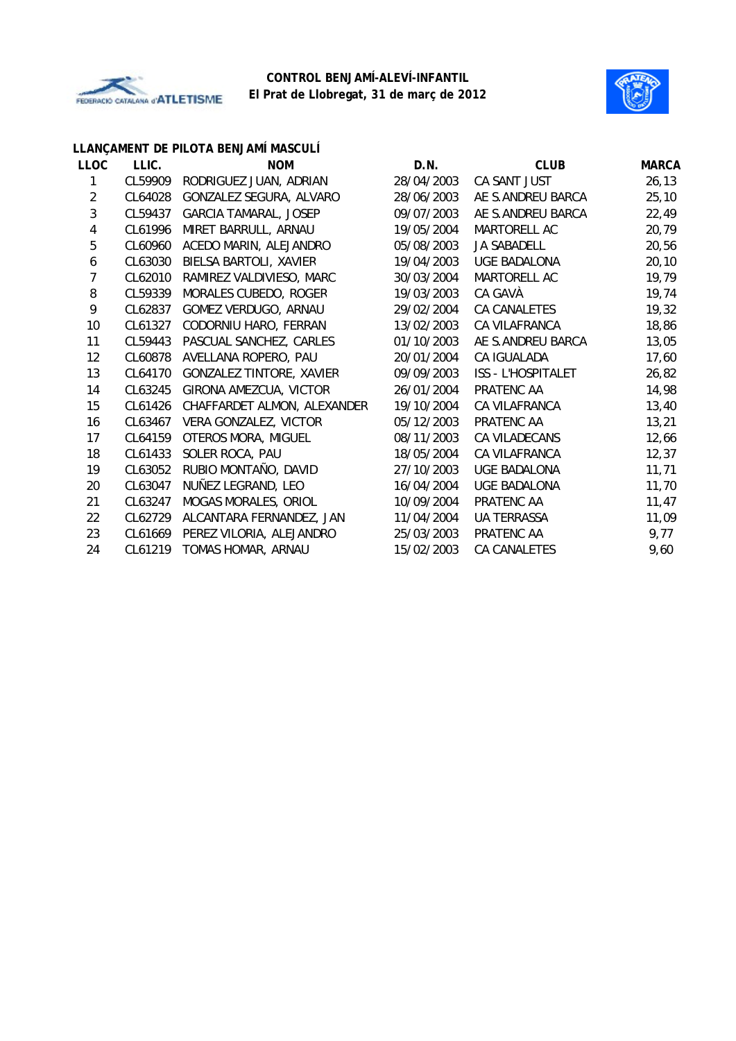



# **LLANÇAMENT DE PILOTA BENJAMÍ MASCULÍ**

| <b>LLOC</b>             | LLIC.   | <b>NOM</b>                   | D.N.       | <b>CLUB</b>         | <b>MARCA</b> |
|-------------------------|---------|------------------------------|------------|---------------------|--------------|
| 1                       | CL59909 | RODRIGUEZ JUAN, ADRIAN       | 28/04/2003 | CA SANT JUST        | 26, 13       |
| $\overline{2}$          | CL64028 | GONZALEZ SEGURA, ALVARO      | 28/06/2003 | AE S.ANDREU BARCA   | 25,10        |
| 3                       | CL59437 | <b>GARCIA TAMARAL, JOSEP</b> | 09/07/2003 | AE S.ANDREU BARCA   | 22,49        |
| $\overline{\mathbf{4}}$ | CL61996 | MIRET BARRULL, ARNAU         | 19/05/2004 | MARTORELL AC        | 20,79        |
| 5                       | CL60960 | ACEDO MARIN, ALEJANDRO       | 05/08/2003 | JA SABADELL         | 20,56        |
| 6                       | CL63030 | BIELSA BARTOLI, XAVIER       | 19/04/2003 | UGE BADALONA        | 20, 10       |
| 7                       | CL62010 | RAMIREZ VALDIVIESO, MARC     | 30/03/2004 | MARTORELL AC        | 19,79        |
| 8                       | CL59339 | MORALES CUBEDO, ROGER        | 19/03/2003 | CA GAVÀ             | 19,74        |
| 9                       | CL62837 | GOMEZ VERDUGO, ARNAU         | 29/02/2004 | CA CANALETES        | 19,32        |
| 10                      | CL61327 | CODORNIU HARO, FERRAN        | 13/02/2003 | CA VILAFRANCA       | 18,86        |
| 11                      | CL59443 | PASCUAL SANCHEZ, CARLES      | 01/10/2003 | AE S.ANDREU BARCA   | 13,05        |
| 12                      | CL60878 | AVELLANA ROPERO, PAU         | 20/01/2004 | CA IGUALADA         | 17,60        |
| 13                      | CL64170 | GONZALEZ TINTORE, XAVIER     | 09/09/2003 | ISS - L'HOSPITALET  | 26,82        |
| 14                      | CL63245 | GIRONA AMEZCUA, VICTOR       | 26/01/2004 | PRATENC AA          | 14,98        |
| 15                      | CL61426 | CHAFFARDET ALMON, ALEXANDER  | 19/10/2004 | CA VILAFRANCA       | 13,40        |
| 16                      | CL63467 | VERA GONZALEZ, VICTOR        | 05/12/2003 | PRATENC AA          | 13,21        |
| 17                      | CL64159 | OTEROS MORA, MIGUEL          | 08/11/2003 | CA VILADECANS       | 12,66        |
| 18                      | CL61433 | SOLER ROCA, PAU              | 18/05/2004 | CA VILAFRANCA       | 12,37        |
| 19                      | CL63052 | RUBIO MONTAÑO, DAVID         | 27/10/2003 | <b>UGE BADALONA</b> | 11,71        |
| 20                      | CL63047 | NUÑEZ LEGRAND, LEO           | 16/04/2004 | <b>UGE BADALONA</b> | 11,70        |
| 21                      | CL63247 | MOGAS MORALES, ORIOL         | 10/09/2004 | PRATENC AA          | 11,47        |
| 22                      | CL62729 | ALCANTARA FERNANDEZ, JAN     | 11/04/2004 | <b>UA TERRASSA</b>  | 11,09        |
| 23                      | CL61669 | PEREZ VILORIA, ALEJANDRO     | 25/03/2003 | PRATENC AA          | 9,77         |
| 24                      | CL61219 | TOMAS HOMAR, ARNAU           | 15/02/2003 | CA CANALETES        | 9,60         |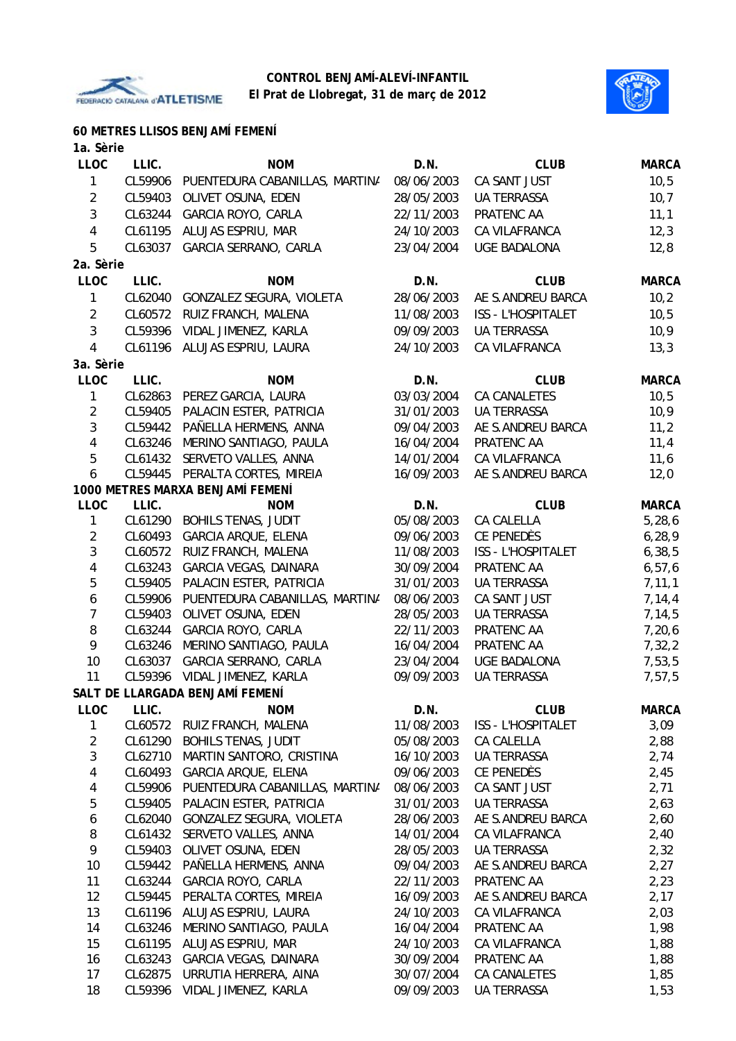



**60 METRES LLISOS BENJAMÍ FEMENÍ**

| 1a. Sèrie        |         |                                        |            |                           |              |
|------------------|---------|----------------------------------------|------------|---------------------------|--------------|
| <b>LLOC</b>      | LLIC.   | <b>NOM</b>                             | D.N.       | <b>CLUB</b>               | <b>MARCA</b> |
| 1                |         | CL59906 PUENTEDURA CABANILLAS, MARTINA | 08/06/2003 | CA SANT JUST              | 10, 5        |
| $\overline{2}$   | CL59403 | OLIVET OSUNA, EDEN                     | 28/05/2003 | <b>UA TERRASSA</b>        | 10, 7        |
| 3                | CL63244 | GARCIA ROYO, CARLA                     | 22/11/2003 | PRATENC AA                | 11,1         |
| $\overline{4}$   | CL61195 | ALUJAS ESPRIU, MAR                     | 24/10/2003 | CA VILAFRANCA             | 12,3         |
| 5                | CL63037 | GARCIA SERRANO, CARLA                  | 23/04/2004 | <b>UGE BADALONA</b>       | 12,8         |
| 2a. Sèrie        |         |                                        |            |                           |              |
| <b>LLOC</b>      | LLIC.   | <b>NOM</b>                             | D.N.       | <b>CLUB</b>               | <b>MARCA</b> |
| 1                | CL62040 | GONZALEZ SEGURA, VIOLETA               | 28/06/2003 | AE S.ANDREU BARCA         | 10,2         |
| $\overline{2}$   | CL60572 | RUIZ FRANCH, MALENA                    | 11/08/2003 | ISS - L'HOSPITALET        | 10, 5        |
| $\mathbf{3}$     |         | CL59396 VIDAL JIMENEZ, KARLA           | 09/09/2003 | UA TERRASSA               | 10,9         |
| $\overline{4}$   | CL61196 | ALUJAS ESPRIU, LAURA                   | 24/10/2003 | CA VILAFRANCA             | 13,3         |
| 3a. Sèrie        |         |                                        |            |                           |              |
| <b>LLOC</b>      | LLIC.   | <b>NOM</b>                             | D.N.       | <b>CLUB</b>               | <b>MARCA</b> |
| 1                | CL62863 | PEREZ GARCIA, LAURA                    | 03/03/2004 | <b>CA CANALETES</b>       | 10, 5        |
| $\overline{2}$   |         | CL59405 PALACIN ESTER, PATRICIA        | 31/01/2003 | <b>UA TERRASSA</b>        | 10,9         |
| $\mathbf{3}$     |         | CL59442 PAÑELLA HERMENS, ANNA          | 09/04/2003 | AE S.ANDREU BARCA         | 11,2         |
| $\overline{4}$   | CL63246 | MERINO SANTIAGO, PAULA                 | 16/04/2004 | PRATENC AA                | 11,4         |
| 5                | CL61432 | SERVETO VALLES, ANNA                   | 14/01/2004 | CA VILAFRANCA             | 11,6         |
| 6                |         | CL59445 PERALTA CORTES, MIREIA         | 16/09/2003 | AE S.ANDREU BARCA         | 12,0         |
|                  |         | 1000 METRES MARXA BENJAMÍ FEMENÍ       |            |                           |              |
| <b>LLOC</b>      | LLIC.   | <b>NOM</b>                             | D.N.       | <b>CLUB</b>               | <b>MARCA</b> |
| 1                | CL61290 | <b>BOHILS TENAS, JUDIT</b>             | 05/08/2003 | CA CALELLA                | 5,28,6       |
| $\overline{2}$   | CL60493 | <b>GARCIA ARQUE, ELENA</b>             | 09/06/2003 | CE PENEDÈS                | 6, 28, 9     |
| 3                | CL60572 | RUIZ FRANCH, MALENA                    | 11/08/2003 | <b>ISS - L'HOSPITALET</b> | 6, 38, 5     |
| 4                | CL63243 | GARCIA VEGAS, DAINARA                  | 30/09/2004 | PRATENC AA                | 6, 57, 6     |
| 5                | CL59405 | PALACIN ESTER, PATRICIA                | 31/01/2003 | <b>UA TERRASSA</b>        | 7, 11, 1     |
| $\boldsymbol{6}$ | CL59906 | PUENTEDURA CABANILLAS, MARTINA         | 08/06/2003 | CA SANT JUST              | 7,14,4       |
| $\overline{7}$   | CL59403 | OLIVET OSUNA, EDEN                     | 28/05/2003 | UA TERRASSA               | 7, 14, 5     |
| 8                | CL63244 | GARCIA ROYO, CARLA                     | 22/11/2003 | PRATENC AA                | 7,20,6       |
| 9                | CL63246 | MERINO SANTIAGO, PAULA                 | 16/04/2004 | PRATENC AA                | 7,32,2       |
| 10               | CL63037 | GARCIA SERRANO, CARLA                  | 23/04/2004 | UGE BADALONA              | 7,53,5       |
| 11               |         | CL59396 VIDAL JIMENEZ, KARLA           | 09/09/2003 | <b>UA TERRASSA</b>        | 7,57,5       |
|                  |         | SALT DE LLARGADA BENJAMÍ FEMENÍ        |            |                           |              |
| <b>LLOC</b>      | LLIC.   | <b>NOM</b>                             | D.N.       | <b>CLUB</b>               | <b>MARCA</b> |
| 1                |         | CL60572 RUIZ FRANCH, MALENA            | 11/08/2003 | ISS - L'HOSPITALET        | 3,09         |
| $\overline{2}$   | CL61290 | <b>BOHILS TENAS, JUDIT</b>             | 05/08/2003 | CA CALELLA                | 2,88         |
| 3                | CL62710 | MARTIN SANTORO, CRISTINA               | 16/10/2003 | UA TERRASSA               | 2,74         |
| 4                | CL60493 | <b>GARCIA ARQUE, ELENA</b>             | 09/06/2003 | CE PENEDÈS                | 2,45         |
| 4                | CL59906 | PUENTEDURA CABANILLAS, MARTINA         | 08/06/2003 | CA SANT JUST              | 2,71         |
| 5                | CL59405 | PALACIN ESTER, PATRICIA                | 31/01/2003 | UA TERRASSA               | 2,63         |
| 6                | CL62040 | GONZALEZ SEGURA, VIOLETA               | 28/06/2003 | AE S.ANDREU BARCA         | 2,60         |
| 8                | CL61432 | SERVETO VALLES, ANNA                   | 14/01/2004 | CA VILAFRANCA             | 2,40         |
| 9                |         | CL59403 OLIVET OSUNA, EDEN             | 28/05/2003 | <b>UA TERRASSA</b>        | 2,32         |
| 10               |         | CL59442 PAÑELLA HERMENS, ANNA          | 09/04/2003 | AE S.ANDREU BARCA         | 2,27         |
| 11               | CL63244 | GARCIA ROYO, CARLA                     | 22/11/2003 | PRATENC AA                | 2,23         |
| 12               | CL59445 | PERALTA CORTES, MIREIA                 | 16/09/2003 | AE S.ANDREU BARCA         | 2,17         |
| 13               | CL61196 | ALUJAS ESPRIU, LAURA                   | 24/10/2003 | CA VILAFRANCA             | 2,03         |
| 14               | CL63246 | MERINO SANTIAGO, PAULA                 | 16/04/2004 | PRATENC AA                | 1,98         |
| 15               | CL61195 | ALUJAS ESPRIU, MAR                     | 24/10/2003 | CA VILAFRANCA             | 1,88         |
| 16               |         | CL63243 GARCIA VEGAS, DAINARA          | 30/09/2004 | PRATENC AA                | 1,88         |
| 17               |         | CL62875 URRUTIA HERRERA, AINA          | 30/07/2004 | CA CANALETES              | 1,85         |
| 18               |         | CL59396 VIDAL JIMENEZ, KARLA           | 09/09/2003 | <b>UA TERRASSA</b>        | 1,53         |